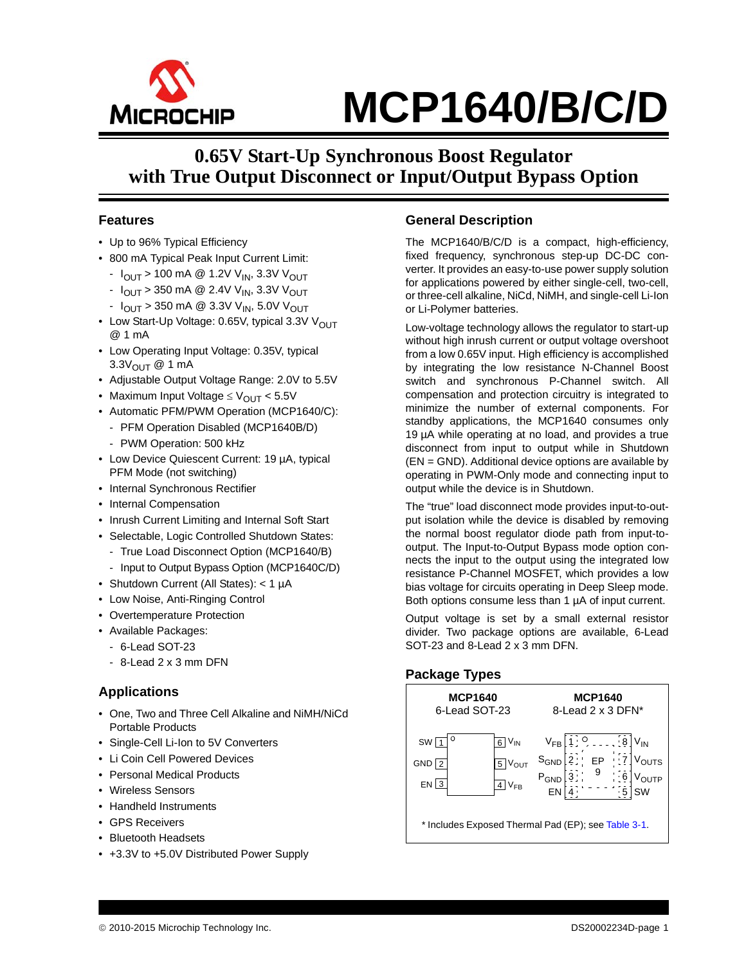

# **0.65V Start-Up Synchronous Boost Regulator with True Output Disconnect or Input/Output Bypass Option**

# <span id="page-0-0"></span>**Features**

- Up to 96% Typical Efficiency
- 800 mA Typical Peak Input Current Limit:
	- $I_{\text{OUT}} > 100 \text{ mA} \text{ @ } 1.2 \text{V} \text{ V}_{\text{IN}}$ , 3.3V V<sub>OUT</sub>
	- $-I_{\text{OUT}} > 350 \text{ mA} \text{ @ } 2.4 \text{V} \text{ V}_{\text{IN}}$ , 3.3V V<sub>OUT</sub>
	- $I_{\text{OUT}} > 350 \text{ mA}$  @ 3.3V V<sub>IN</sub>, 5.0V V<sub>OUT</sub>
- Low Start-Up Voltage: 0.65V, typical 3.3V V<sub>OUT</sub> @ 1 mA
- Low Operating Input Voltage: 0.35V, typical 3.3V<sub>OUT</sub> @ 1 mA
- Adjustable Output Voltage Range: 2.0V to 5.5V
- Maximum Input Voltage  $\leq$  V<sub>OUT</sub> < 5.5V
- Automatic PFM/PWM Operation (MCP1640/C):
- PFM Operation Disabled (MCP1640B/D)
- PWM Operation: 500 kHz
- Low Device Quiescent Current: 19 µA, typical PFM Mode (not switching)
- Internal Synchronous Rectifier
- Internal Compensation
- Inrush Current Limiting and Internal Soft Start
- Selectable, Logic Controlled Shutdown States:
	- True Load Disconnect Option (MCP1640/B)
	- Input to Output Bypass Option (MCP1640C/D)
- Shutdown Current (All States): < 1 µA
- Low Noise, Anti-Ringing Control
- Overtemperature Protection
- Available Packages:
	- 6-Lead SOT-23
	- 8-Lead 2 x 3 mm DFN

### **Applications**

- One, Two and Three Cell Alkaline and NiMH/NiCd Portable Products
- Single-Cell Li-Ion to 5V Converters
- Li Coin Cell Powered Devices
- Personal Medical Products
- Wireless Sensors
- Handheld Instruments
- GPS Receivers
- Bluetooth Headsets
- +3.3V to +5.0V Distributed Power Supply

# **General Description**

The MCP1640/B/C/D is a compact, high-efficiency, fixed frequency, synchronous step-up DC-DC converter. It provides an easy-to-use power supply solution for applications powered by either single-cell, two-cell, or three-cell alkaline, NiCd, NiMH, and single-cell Li-Ion or Li-Polymer batteries.

Low-voltage technology allows the regulator to start-up without high inrush current or output voltage overshoot from a low 0.65V input. High efficiency is accomplished by integrating the low resistance N-Channel Boost switch and synchronous P-Channel switch. All compensation and protection circuitry is integrated to minimize the number of external components. For standby applications, the MCP1640 consumes only 19 µA while operating at no load, and provides a true disconnect from input to output while in Shutdown (EN = GND). Additional device options are available by operating in PWM-Only mode and connecting input to output while the device is in Shutdown.

The "true" load disconnect mode provides input-to-output isolation while the device is disabled by removing the normal boost regulator diode path from input-tooutput. The Input-to-Output Bypass mode option connects the input to the output using the integrated low resistance P-Channel MOSFET, which provides a low bias voltage for circuits operating in Deep Sleep mode. Both options consume less than 1  $\mu$ A of input current.

Output voltage is set by a small external resistor divider. Two package options are available, 6-Lead SOT-23 and 8-Lead 2 x 3 mm DFN.

# **Package Types**

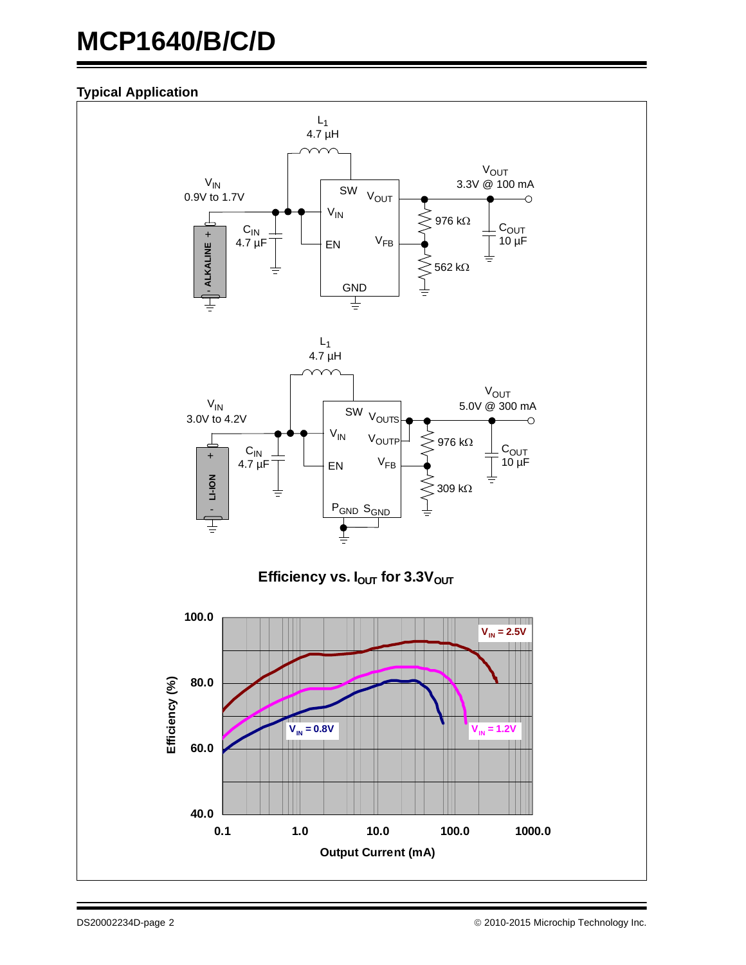# **Typical Application**

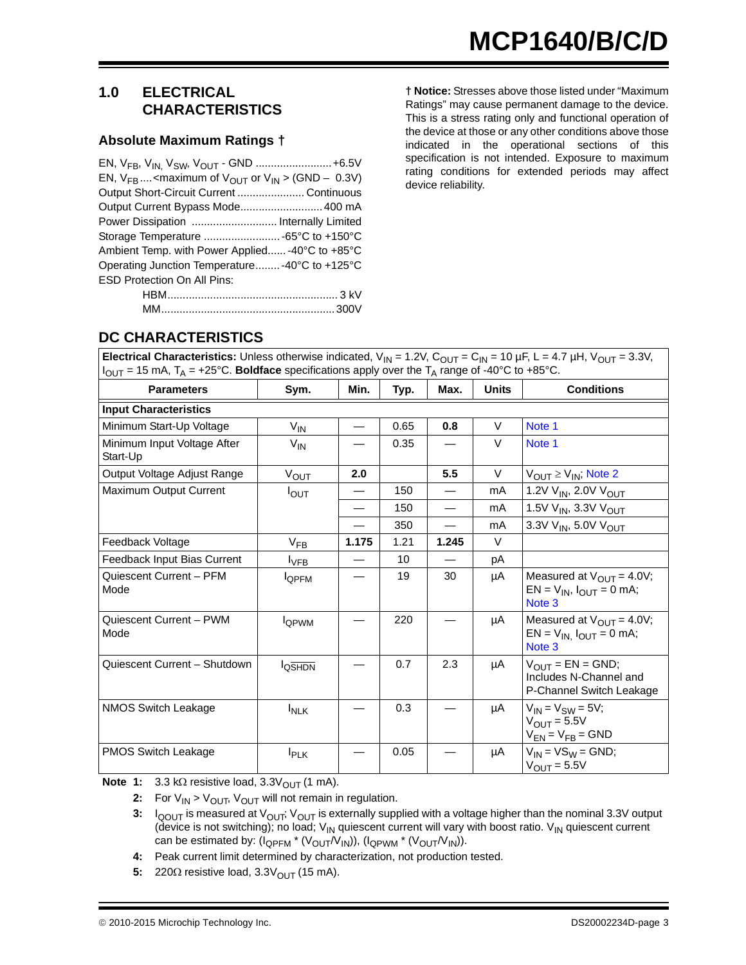# **1.0 ELECTRICAL CHARACTERISTICS**

### **Absolute Maximum Ratings †**

| EN, $V_{FB}$ , $V_{IN}$ , $V_{SW}$ , $V_{OUT}$ - GND  +6.5V                                     |
|-------------------------------------------------------------------------------------------------|
| EN, $V_{FB}$ <maximum <math="" of="">V_{OUT} or <math>V_{IN}</math> &gt; (GND - 0.3V)</maximum> |
| Output Short-Circuit Current  Continuous                                                        |
| Output Current Bypass Mode 400 mA                                                               |
| Power Dissipation  Internally Limited                                                           |
|                                                                                                 |
| Ambient Temp. with Power Applied -40°C to +85°C                                                 |
| Operating Junction Temperature-40°C to +125°C                                                   |
| <b>ESD Protection On All Pins:</b>                                                              |
|                                                                                                 |
|                                                                                                 |

**† Notice:** Stresses above those listed under "Maximum Ratings" may cause permanent damage to the device. This is a stress rating only and functional operation of the device at those or any other conditions above those indicated in the operational sections of this specification is not intended. Exposure to maximum rating conditions for extended periods may affect device reliability.

# <span id="page-2-5"></span>**DC CHARACTERISTICS**

**Electrical Characteristics:** Unless otherwise indicated,  $V_{IN} = 1.2V$ ,  $C_{OUT} = C_{IN} = 10 \mu F$ , L = 4.7  $\mu$ H,  $V_{OUT} = 3.3V$ ,  $|I_{\text{OUT}}| = 15 \text{ mA}$ ,  $T_A = +25^{\circ}\text{C}$ . **Boldface** specifications apply over the T<sub>A</sub> range of -40°C to +85°C.

| <b>Parameters</b>                       | Sym.             | Min.                     | Typ. | Max.  | <b>Units</b> | <b>Conditions</b>                                                                        |
|-----------------------------------------|------------------|--------------------------|------|-------|--------------|------------------------------------------------------------------------------------------|
| <b>Input Characteristics</b>            |                  |                          |      |       |              |                                                                                          |
| Minimum Start-Up Voltage                | $V_{IN}$         |                          | 0.65 | 0.8   | V            | Note 1                                                                                   |
| Minimum Input Voltage After<br>Start-Up | $V_{IN}$         |                          | 0.35 |       | $\vee$       | Note 1                                                                                   |
| Output Voltage Adjust Range             | <b>VOUT</b>      | 2.0                      |      | 5.5   | V            | $V_{OUT} \geq V_{IN}$ ; Note 2                                                           |
| Maximum Output Current                  | $I_{\text{OUT}}$ |                          | 150  |       | mA           | 1.2V V <sub>IN</sub> , 2.0V V <sub>OUT</sub>                                             |
|                                         |                  | $\overline{\phantom{0}}$ | 150  |       | mA           | 1.5V $V_{IN}$ , 3.3V $V_{OUT}$                                                           |
|                                         |                  |                          | 350  |       | mA           | 3.3V V <sub>IN</sub> , 5.0V V <sub>OUT</sub>                                             |
| Feedback Voltage                        | $V_{FB}$         | 1.175                    | 1.21 | 1.245 | V            |                                                                                          |
| Feedback Input Bias Current             | $I_{\text{VFB}}$ |                          | 10   |       | рA           |                                                                                          |
| Quiescent Current - PFM<br>Mode         | <b>I</b> OPFM    |                          | 19   | 30    | μA           | Measured at $V_{OUT} = 4.0V$ ;<br>$EN = V_{IN}$ , $I_{OUT} = 0$ mA;<br>Note <sub>3</sub> |
| Quiescent Current - PWM<br>Mode         | <b>I</b> OPWM    |                          | 220  |       | μA           | Measured at $V_{OUT} = 4.0V$ ;<br>$EN = V_{IN} I_{OUT} = 0$ mA;<br>Note <sub>3</sub>     |
| Quiescent Current - Shutdown            | <b>I</b> OSHDN   |                          | 0.7  | 2.3   | μA           | $V_{\text{OUT}}$ = EN = GND;<br>Includes N-Channel and<br>P-Channel Switch Leakage       |
| <b>NMOS Switch Leakage</b>              | $I_{NLK}$        |                          | 0.3  |       | μA           | $V_{IN} = V_{SW} = 5V$ ;<br>$V_{\text{OUT}} = 5.5V$<br>$V_{EN} = V_{FB} = GND$           |
| <b>PMOS Switch Leakage</b>              | <b>IPLK</b>      |                          | 0.05 |       | μA           | $V_{IN}$ = $VS_W$ = GND;<br>$V_{\text{OUT}} = 5.5V$                                      |

<span id="page-2-2"></span><span id="page-2-1"></span><span id="page-2-0"></span>**Note 1:** 3.3 k $\Omega$  resistive load, 3.3V<sub>OUT</sub> (1 mA).

- **2:** For  $V_{IN} > V_{OUT}$ ,  $V_{OUT}$  will not remain in regulation.
- **3:** I<sub>QOUT</sub> is measured at V<sub>OUT</sub>; V<sub>OUT</sub> is externally supplied with a voltage higher than the nominal 3.3V output (device is not switching); no load;  $V_{IN}$  quiescent current will vary with boost ratio.  $V_{IN}$  quiescent current can be estimated by:  $(I_{\mathsf{QPFM}} \cdot (V_{\mathsf{OUT}}/V_{\mathsf{IN}}))$ ,  $(I_{\mathsf{QPWM}} \cdot (V_{\mathsf{OUT}}/V_{\mathsf{IN}}))$ .
- <span id="page-2-3"></span>**4:** Peak current limit determined by characterization, not production tested.
- <span id="page-2-4"></span>**5:** 220 $\Omega$  resistive load, 3.3 $V_{\text{OUT}}$  (15 mA).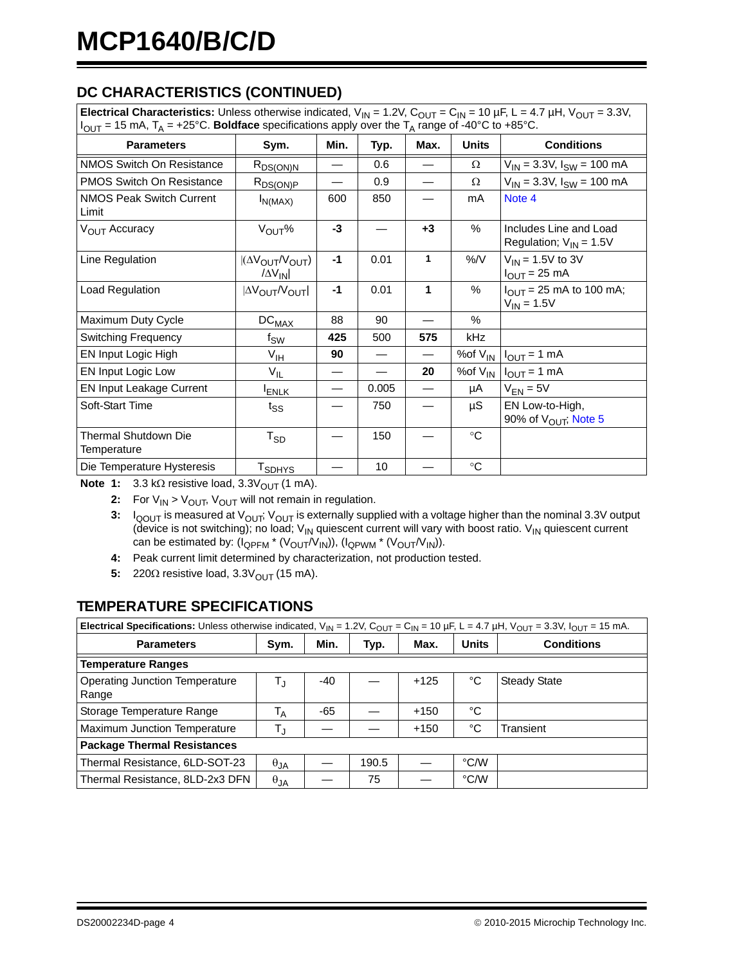# **DC CHARACTERISTICS (CONTINUED)**

**Electrical Characteristics:** Unless otherwise indicated,  $V_{IN} = 1.2V$ ,  $C_{OUT} = C_{IN} = 10 \mu F$ , L = 4.7  $\mu$ H,  $V_{OUT} = 3.3V$ ,  $I_{\text{OUT}}$  = 15 mA, T<sub>A</sub> = +25°C. **Boldface** specifications apply over the T<sub>A</sub> range of -40°C to +85°C.

| ◡◡╷<br>$\sqrt{ }$                          |                                                           | .    |       |      |                     |                                                           |
|--------------------------------------------|-----------------------------------------------------------|------|-------|------|---------------------|-----------------------------------------------------------|
| <b>Parameters</b>                          | Sym.                                                      | Min. | Typ.  | Max. | <b>Units</b>        | <b>Conditions</b>                                         |
| NMOS Switch On Resistance                  | $R_{DS(ON)N}$                                             |      | 0.6   |      | Ω                   | $V_{IN}$ = 3.3V, $I_{SW}$ = 100 mA                        |
| <b>PMOS Switch On Resistance</b>           | $R_{DS(ON)P}$                                             |      | 0.9   |      | Ω                   | $V_{IN}$ = 3.3V, $I_{SW}$ = 100 mA                        |
| <b>NMOS Peak Switch Current</b><br>Limit   | $I_{N(MAX)}$                                              | 600  | 850   |      | mA                  | Note 4                                                    |
| V <sub>OUT</sub> Accuracy                  | V <sub>OUT</sub> %                                        | $-3$ |       | $+3$ | $\%$                | Includes Line and Load<br>Regulation; $V_{IN} = 1.5V$     |
| Line Regulation                            | (ΔV <sub>OUT</sub> /V <sub>OUT</sub> )<br>$\Delta V_{IN}$ | $-1$ | 0.01  | 1    | $%$ /V              | $V_{IN}$ = 1.5V to 3V<br>$I_{\text{OUT}} = 25 \text{ mA}$ |
| Load Regulation                            | <b>AVOUT/VOUT</b>                                         | -1   | 0.01  | 1    | $\frac{0}{0}$       | $I_{\text{OUT}}$ = 25 mA to 100 mA;<br>$V_{IN} = 1.5V$    |
| Maximum Duty Cycle                         | $DC_{MAX}$                                                | 88   | 90    |      | $\%$                |                                                           |
| <b>Switching Frequency</b>                 | tsw                                                       | 425  | 500   | 575  | kHz                 |                                                           |
| EN Input Logic High                        | $V_{\text{IH}}$                                           | 90   |       |      | %of V <sub>IN</sub> | $I_{\text{OUT}} = 1 \text{ mA}$                           |
| EN Input Logic Low                         | $V_{IL}$                                                  | –    |       | 20   | %of V <sub>IN</sub> | $I_{\text{OUT}} = 1 \text{ mA}$                           |
| <b>EN Input Leakage Current</b>            | <b>ENLK</b>                                               | —    | 0.005 |      | μA                  | $V_{FN} = 5V$                                             |
| Soft-Start Time                            | $t_{SS}$                                                  |      | 750   |      | μS                  | EN Low-to-High,<br>90% of V <sub>OUT</sub> , Note 5       |
| <b>Thermal Shutdown Die</b><br>Temperature | $\mathsf{T}_{\mathsf{SD}}$                                |      | 150   |      | $^{\circ}C$         |                                                           |
| Die Temperature Hysteresis                 | T <sub>SDHYS</sub>                                        |      | 10    |      | $^{\circ}C$         |                                                           |

**Note** 1: 3.3 k $\Omega$  resistive load, 3.3V<sub>OUT</sub> (1 mA).

- **2:** For  $V_{IN} > V_{OUT}$ ,  $V_{OUT}$  will not remain in regulation.
- **3:** I<sub>QOUT</sub> is measured at V<sub>OUT</sub>; V<sub>OUT</sub> is externally supplied with a voltage higher than the nominal 3.3V output (device is not switching); no load;  $V_{\mathsf{IN}}$  quiescent current will vary with boost ratio.  $V_{\mathsf{IN}}$  quiescent current can be estimated by:  $(I_{\mathsf{QPFM}} \cdot (V_{\mathsf{OUT}}/V_{\mathsf{IN}}))$ ,  $(I_{\mathsf{QPWM}} \cdot (V_{\mathsf{OUT}}/V_{\mathsf{IN}}))$ .
- **4:** Peak current limit determined by characterization, not production tested.
- **5:** 220 $\Omega$  resistive load, 3.3 $V_{\text{OUT}}$  (15 mA).

# <span id="page-3-0"></span>**TEMPERATURE SPECIFICATIONS**

| Electrical Specifications: Unless otherwise indicated, $V_{\text{IN}} = 1.2V$ , C <sub>OUT</sub> = C <sub>IN</sub> = 10 µF, L = 4.7 µH, V <sub>OUT</sub> = 3.3V, I <sub>OUT</sub> = 15 mA. |               |       |       |        |              |                   |
|--------------------------------------------------------------------------------------------------------------------------------------------------------------------------------------------|---------------|-------|-------|--------|--------------|-------------------|
| <b>Parameters</b>                                                                                                                                                                          | Sym.          | Min.  | Typ.  | Max.   | <b>Units</b> | <b>Conditions</b> |
| <b>Temperature Ranges</b>                                                                                                                                                                  |               |       |       |        |              |                   |
| <b>Operating Junction Temperature</b><br>Range                                                                                                                                             | T,            | -40   |       | $+125$ | °C           | Steady State      |
| Storage Temperature Range                                                                                                                                                                  | $T_A$         | $-65$ |       | $+150$ | °C           |                   |
| Maximum Junction Temperature                                                                                                                                                               | $T_{\rm J}$   |       |       | $+150$ | °C           | Transient         |
| <b>Package Thermal Resistances</b>                                                                                                                                                         |               |       |       |        |              |                   |
| Thermal Resistance, 6LD-SOT-23                                                                                                                                                             | $\theta$ JA   |       | 190.5 |        | °C/W         |                   |
| Thermal Resistance, 8LD-2x3 DFN                                                                                                                                                            | $\theta_{JA}$ |       | 75    |        | °C/W         |                   |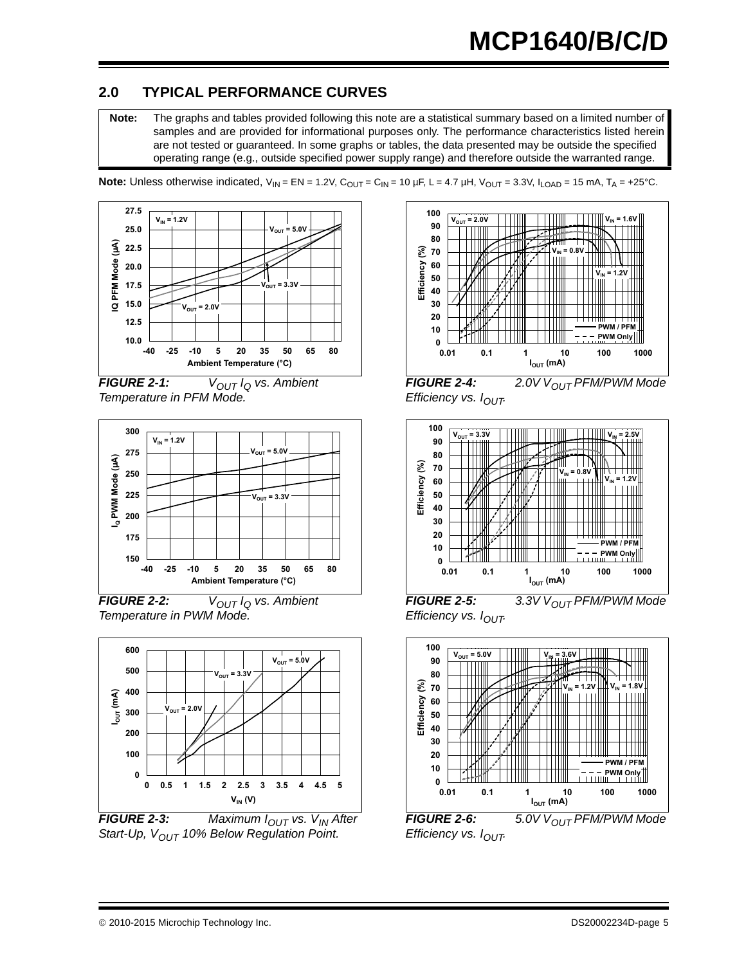# <span id="page-4-2"></span>**2.0 TYPICAL PERFORMANCE CURVES**

**Note:** The graphs and tables provided following this note are a statistical summary based on a limited number of samples and are provided for informational purposes only. The performance characteristics listed herein are not tested or guaranteed. In some graphs or tables, the data presented may be outside the specified operating range (e.g., outside specified power supply range) and therefore outside the warranted range.

**Note:** Unless otherwise indicated,  $V_{IN} = EN = 1.2V$ , C<sub>OUT</sub> = C<sub>IN</sub> = 10 µF, L = 4.7 µH, V<sub>OUT</sub> = 3.3V, I<sub>LOAD</sub> = 15 mA, T<sub>A</sub> = +25°C.







*FIGURE 2-2:*  $V_{OUT} I_Q$  vs. Ambient *Temperature in PWM Mode.*



<span id="page-4-0"></span>**FIGURE 2-3:** *Maximum I<sub>OUT</sub> vs. V<sub>IN</sub> After Start-Up, V<sub>OUT</sub> 10% Below Regulation Point.* 



**FIGURE 2-4: 2.0V V<sub>OUT</sub> PFM/PWM Mode** *Efficiency vs. I<sub>OUT</sub>.* 



*Efficiency vs.*  $I_{OUT}$ 



<span id="page-4-1"></span>**FIGURE 2-6:** 5.0V V<sub>OUT</sub> PFM/PWM Mode *Efficiency vs. I<sub>OUT</sub>.*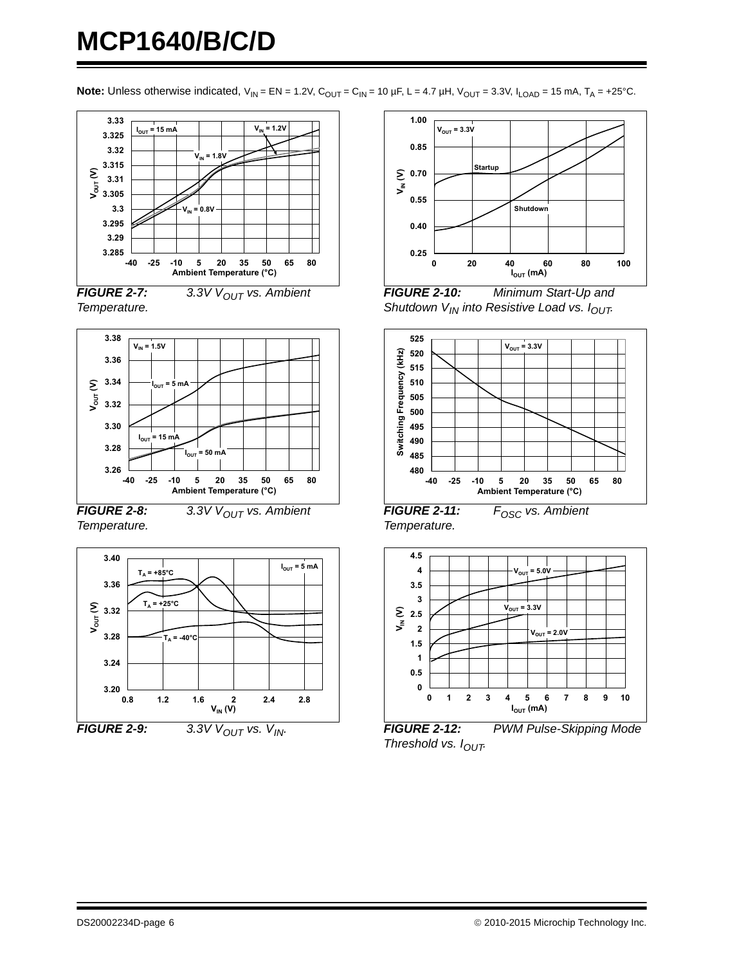**Note:** Unless otherwise indicated,  $V_{IN} = EN = 1.2V$ ,  $C_{OUT} = C_{IN} = 10 \mu F$ , L = 4.7  $\mu H$ ,  $V_{OUT} = 3.3V$ ,  $I_{LOAD} = 15 \mu A$ , T<sub>A</sub> = +25°C.







*FIGURE 2-8:* **3.3V V<sub>OUT</sub> vs. Ambient** *Temperature.*





*FIGURE 2-10: Minimum Start-Up and Shutdown V<sub>IN</sub> into Resistive Load vs. I<sub>OUT</sub>.* 



*FIGURE 2-11:* **F**<sub>OSC</sub> vs. Ambient *Temperature.*



<span id="page-5-0"></span>*FIGURE 2-12: PWM Pulse-Skipping Mode*  Threshold vs.  $I_{OUT}$ .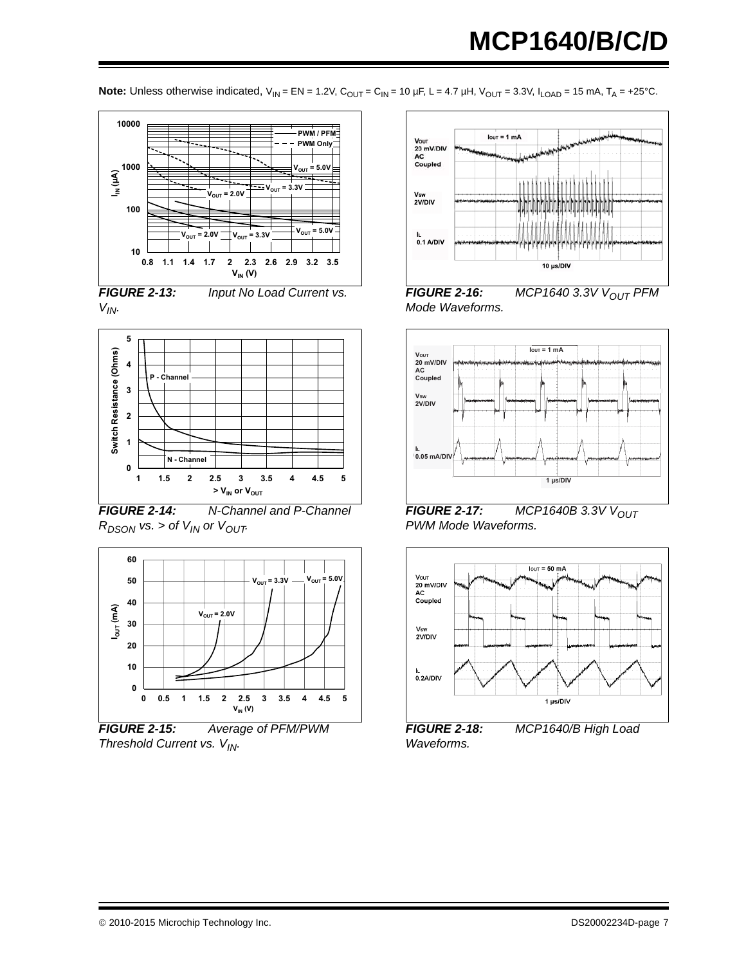**Note:** Unless otherwise indicated,  $V_{IN} = EN = 1.2V$ ,  $C_{OUT} = C_{IN} = 10 \mu F$ , L = 4.7  $\mu H$ ,  $V_{OUT} = 3.3V$ ,  $I_{LOAD} = 15 \mu A$ ,  $T_A = +25^{\circ}C$ .



<span id="page-6-0"></span>



*FIGURE 2-14: N-Channel and P-Channel*   $R_{DSON}$  vs. > of  $V_{IN}$  or  $V_{OUT}$ .



<span id="page-6-1"></span>*FIGURE 2-15: Average of PFM/PWM Threshold Current vs. V<sub>IN</sub>.* 



**FIGURE 2-16: MCP1640 3.3V V<sub>OUT</sub> PFM** *Mode Waveforms.*



**FIGURE 2-17:** *MCP1640B 3.3V V<sub>OUT</sub> PWM Mode Waveforms.*



*Waveforms.*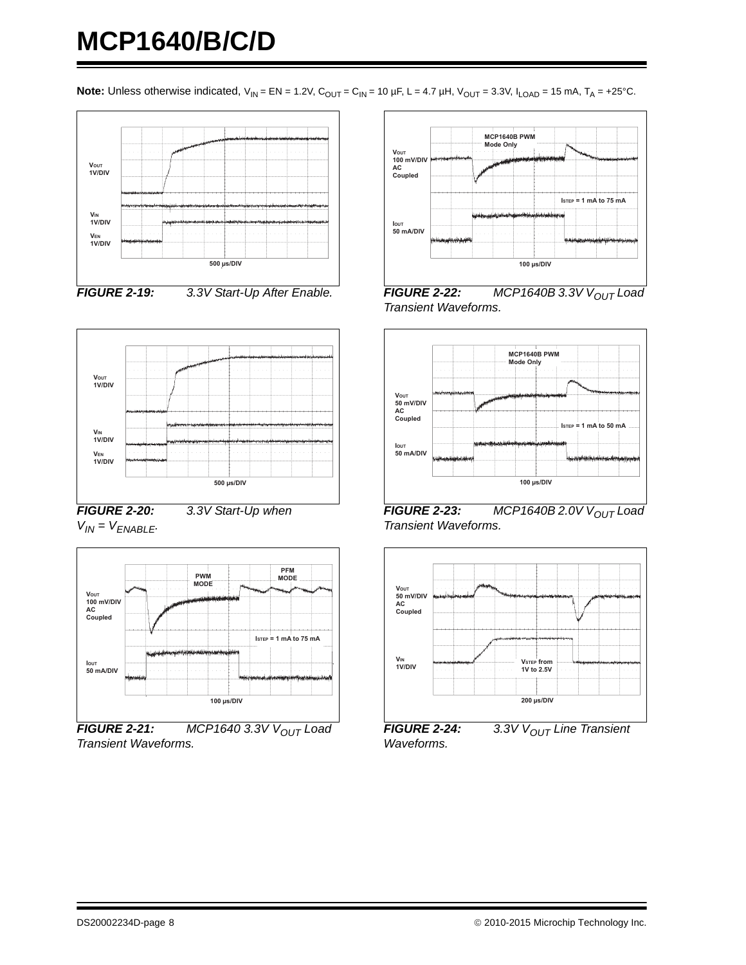**Note:** Unless otherwise indicated,  $V_{IN} = EN = 1.2V$ ,  $C_{OUT} = C_{IN} = 10 \mu F$ , L = 4.7  $\mu H$ ,  $V_{OUT} = 3.3V$ ,  $I_{LOAD} = 15 \mu A$ , T<sub>A</sub> = +25°C.



*FIGURE 2-19: 3.3V Start-Up After Enable.*



*FIGURE 2-20: 3.3V Start-Up when*   $V_{IN} = V_{ENABLE}$ .



**FIGURE 2-21:** *MCP1640 3.3V V<sub>OUT</sub> Load Transient Waveforms.*



**FIGURE 2-22:** *MCP1640B 3.3V V<sub>OUT</sub> Load Transient Waveforms.*



**FIGURE 2-23:** *MCP1640B 2.0V V<sub>OUT</sub> Load Transient Waveforms.*



**FIGURE 2-24:** 3.3V V<sub>OUT</sub> Line Transient *Waveforms.*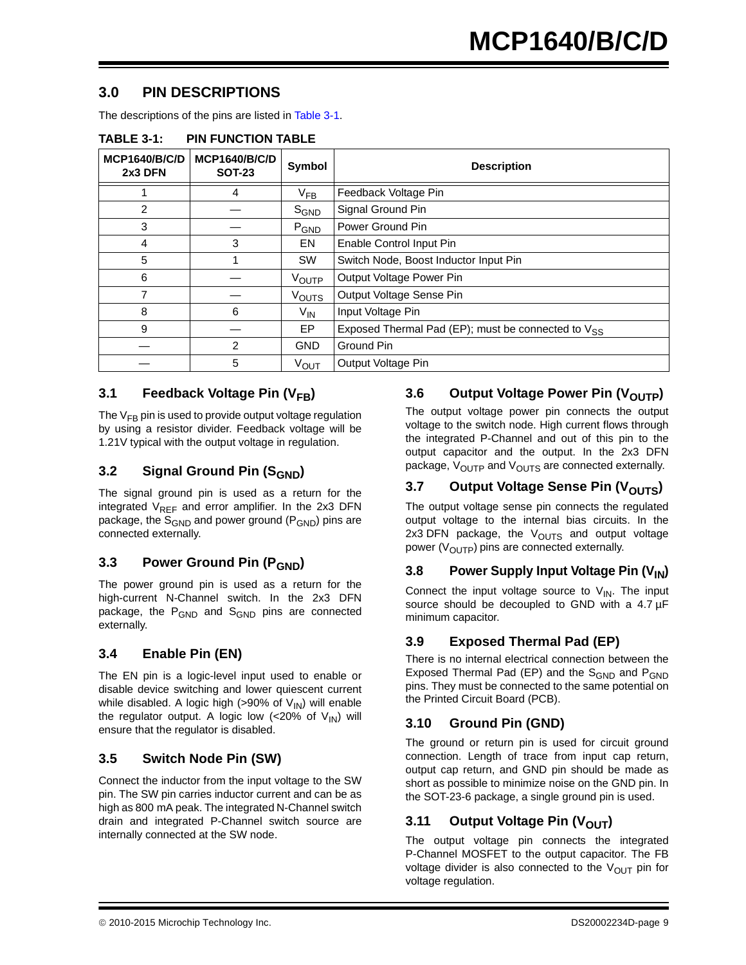# **3.0 PIN DESCRIPTIONS**

The descriptions of the pins are listed in [Table 3-1.](#page-8-0)

| <b>MCP1640/B/C/D</b><br>2x3 DFN | <b>MCP1640/B/C/D</b><br><b>SOT-23</b> | <b>Symbol</b>      | <b>Description</b>                                             |  |
|---------------------------------|---------------------------------------|--------------------|----------------------------------------------------------------|--|
|                                 | 4                                     | $V_{FB}$           | Feedback Voltage Pin                                           |  |
| 2                               |                                       | $S_{GND}$          | Signal Ground Pin                                              |  |
| 3                               |                                       | $P_{\mathsf{GND}}$ | Power Ground Pin                                               |  |
| 4                               | 3                                     | EN                 | Enable Control Input Pin                                       |  |
| 5                               |                                       | <b>SW</b>          | Switch Node, Boost Inductor Input Pin                          |  |
| 6                               |                                       | VOUTP              | Output Voltage Power Pin                                       |  |
| 7                               |                                       | <b>VOUTS</b>       | Output Voltage Sense Pin                                       |  |
| 8                               | 6                                     | $V_{\text{IN}}$    | Input Voltage Pin                                              |  |
| 9                               |                                       | EP                 | Exposed Thermal Pad (EP); must be connected to V <sub>SS</sub> |  |
|                                 | $\overline{2}$                        | <b>GND</b>         | Ground Pin                                                     |  |
|                                 | 5.                                    | V <sub>OUT</sub>   | Output Voltage Pin                                             |  |

#### <span id="page-8-0"></span>**TABLE 3-1: PIN FUNCTION TABLE**

# **3.1** Feedback Voltage Pin (V<sub>FB</sub>)

The  $V_{FB}$  pin is used to provide output voltage regulation by using a resistor divider. Feedback voltage will be 1.21V typical with the output voltage in regulation.

# **3.2** Signal Ground Pin (S<sub>GND</sub>)

The signal ground pin is used as a return for the integrated  $V_{REF}$  and error amplifier. In the 2x3 DFN package, the  $S_{GND}$  and power ground ( $P_{GND}$ ) pins are connected externally.

# **3.3** Power Ground Pin (P<sub>GND</sub>)

The power ground pin is used as a return for the high-current N-Channel switch. In the 2x3 DFN package, the  $P_{GND}$  and  $S_{GND}$  pins are connected externally.

### **3.4 Enable Pin (EN)**

The EN pin is a logic-level input used to enable or disable device switching and lower quiescent current while disabled. A logic high (>90% of  $V_{IN}$ ) will enable the regulator output. A logic low (<20% of  $V_{IN}$ ) will ensure that the regulator is disabled.

### **3.5 Switch Node Pin (SW)**

Connect the inductor from the input voltage to the SW pin. The SW pin carries inductor current and can be as high as 800 mA peak. The integrated N-Channel switch drain and integrated P-Channel switch source are internally connected at the SW node.

# **3.6** Output Voltage Power Pin (V<sub>OUTP</sub>)

The output voltage power pin connects the output voltage to the switch node. High current flows through the integrated P-Channel and out of this pin to the output capacitor and the output. In the 2x3 DFN package,  $V_{\text{OUTP}}$  and  $V_{\text{OUTS}}$  are connected externally.

# **3.7** Output Voltage Sense Pin (V<sub>OUTS</sub>)

The output voltage sense pin connects the regulated output voltage to the internal bias circuits. In the 2x3 DFN package, the  $V_{\text{OUTS}}$  and output voltage power ( $V_{\text{OUTP}}$ ) pins are connected externally.

# **3.8** Power Supply Input Voltage Pin (V<sub>IN</sub>)

Connect the input voltage source to  $V_{IN}$ . The input source should be decoupled to GND with a 4.7 µF minimum capacitor.

# **3.9 Exposed Thermal Pad (EP)**

There is no internal electrical connection between the Exposed Thermal Pad (EP) and the S<sub>GND</sub> and P<sub>GND</sub> pins. They must be connected to the same potential on the Printed Circuit Board (PCB).

# **3.10 Ground Pin (GND)**

The ground or return pin is used for circuit ground connection. Length of trace from input cap return, output cap return, and GND pin should be made as short as possible to minimize noise on the GND pin. In the SOT-23-6 package, a single ground pin is used.

# **3.11 Output Voltage Pin (V<sub>OUT</sub>)**

The output voltage pin connects the integrated P-Channel MOSFET to the output capacitor. The FB voltage divider is also connected to the  $V_{\text{OUT}}$  pin for voltage regulation.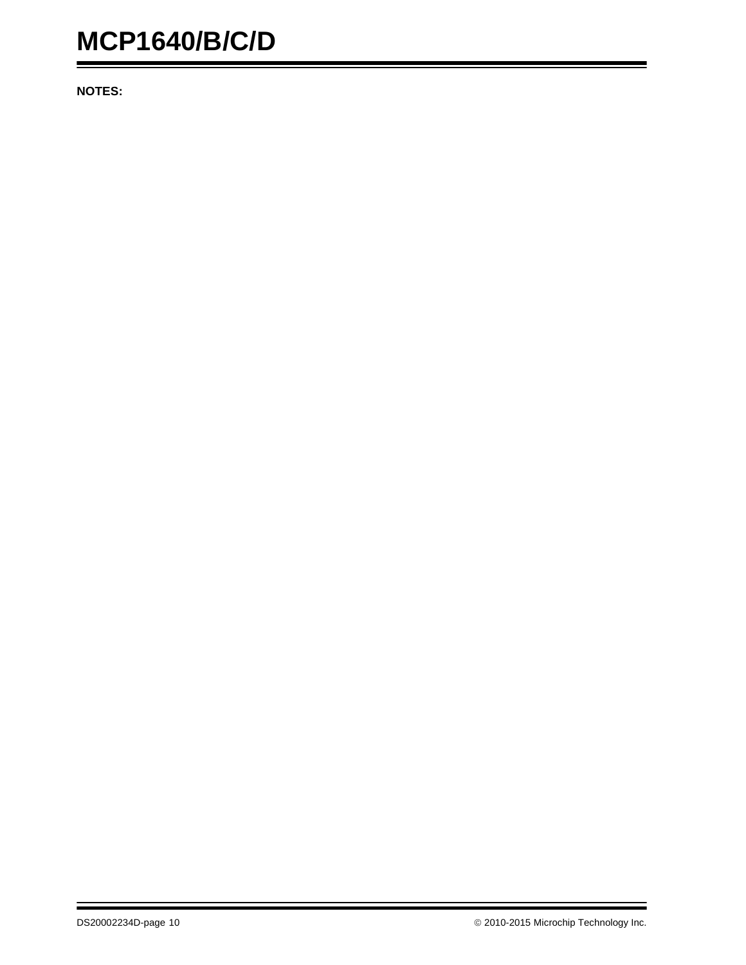**NOTES:**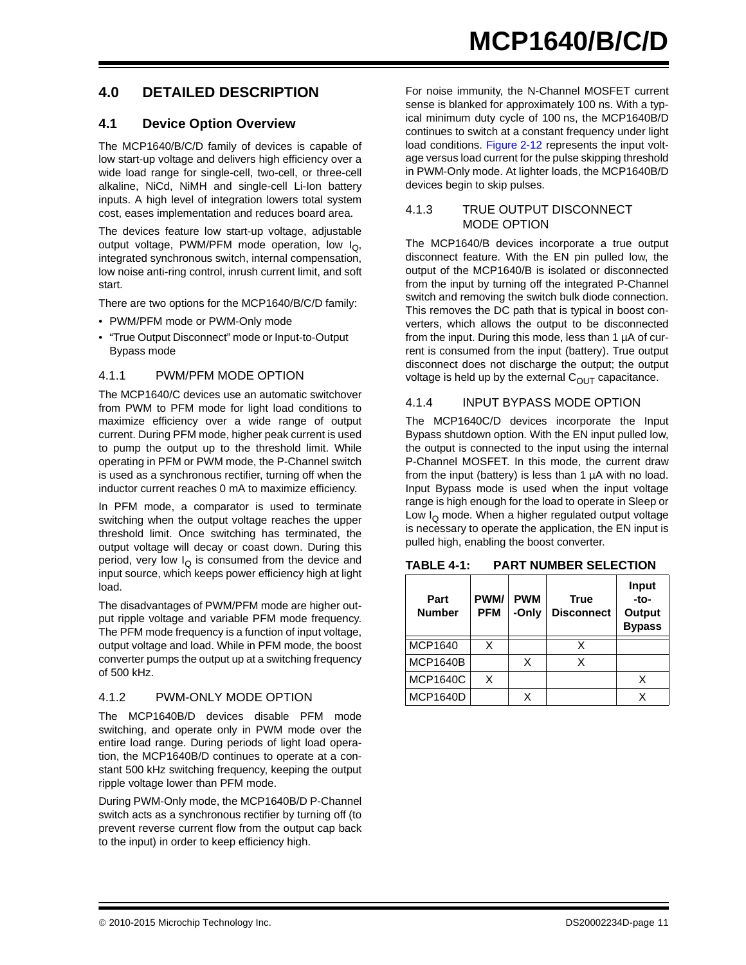# **4.0 DETAILED DESCRIPTION**

# **4.1 Device Option Overview**

The MCP1640/B/C/D family of devices is capable of low start-up voltage and delivers high efficiency over a wide load range for single-cell, two-cell, or three-cell alkaline, NiCd, NiMH and single-cell Li-Ion battery inputs. A high level of integration lowers total system cost, eases implementation and reduces board area.

The devices feature low start-up voltage, adjustable output voltage, PWM/PFM mode operation, low  $I_{\Omega}$ , integrated synchronous switch, internal compensation, low noise anti-ring control, inrush current limit, and soft start.

There are two options for the MCP1640/B/C/D family:

- PWM/PFM mode or PWM-Only mode
- "True Output Disconnect" mode or Input-to-Output Bypass mode

#### 4.1.1 PWM/PFM MODE OPTION

The MCP1640/C devices use an automatic switchover from PWM to PFM mode for light load conditions to maximize efficiency over a wide range of output current. During PFM mode, higher peak current is used to pump the output up to the threshold limit. While operating in PFM or PWM mode, the P-Channel switch is used as a synchronous rectifier, turning off when the inductor current reaches 0 mA to maximize efficiency.

In PFM mode, a comparator is used to terminate switching when the output voltage reaches the upper threshold limit. Once switching has terminated, the output voltage will decay or coast down. During this period, very low  $I<sub>O</sub>$  is consumed from the device and input source, which keeps power efficiency high at light load.

The disadvantages of PWM/PFM mode are higher output ripple voltage and variable PFM mode frequency. The PFM mode frequency is a function of input voltage, output voltage and load. While in PFM mode, the boost converter pumps the output up at a switching frequency of 500 kHz.

#### 4.1.2 PWM-ONLY MODE OPTION

The MCP1640B/D devices disable PFM mode switching, and operate only in PWM mode over the entire load range. During periods of light load operation, the MCP1640B/D continues to operate at a constant 500 kHz switching frequency, keeping the output ripple voltage lower than PFM mode.

During PWM-Only mode, the MCP1640B/D P-Channel switch acts as a synchronous rectifier by turning off (to prevent reverse current flow from the output cap back to the input) in order to keep efficiency high.

For noise immunity, the N-Channel MOSFET current sense is blanked for approximately 100 ns. With a typical minimum duty cycle of 100 ns, the MCP1640B/D continues to switch at a constant frequency under light load conditions. [Figure 2-12](#page-5-0) represents the input voltage versus load current for the pulse skipping threshold in PWM-Only mode. At lighter loads, the MCP1640B/D devices begin to skip pulses.

#### 4.1.3 TRUE OUTPUT DISCONNECT MODE OPTION

The MCP1640/B devices incorporate a true output disconnect feature. With the EN pin pulled low, the output of the MCP1640/B is isolated or disconnected from the input by turning off the integrated P-Channel switch and removing the switch bulk diode connection. This removes the DC path that is typical in boost converters, which allows the output to be disconnected from the input. During this mode, less than 1 µA of current is consumed from the input (battery). True output disconnect does not discharge the output; the output voltage is held up by the external  $C<sub>OUT</sub>$  capacitance.

### 4.1.4 INPUT BYPASS MODE OPTION

The MCP1640C/D devices incorporate the Input Bypass shutdown option. With the EN input pulled low, the output is connected to the input using the internal P-Channel MOSFET. In this mode, the current draw from the input (battery) is less than 1 µA with no load. Input Bypass mode is used when the input voltage range is high enough for the load to operate in Sleep or Low  $I<sub>O</sub>$  mode. When a higher regulated output voltage is necessary to operate the application, the EN input is pulled high, enabling the boost converter.

| Part<br><b>Number</b> | PWM/<br><b>PFM</b> | <b>PWM</b><br>-Only | <b>True</b><br><b>Disconnect</b> | Input<br>-to-<br>Output<br><b>Bypass</b> |
|-----------------------|--------------------|---------------------|----------------------------------|------------------------------------------|
| MCP1640               | X                  |                     | X                                |                                          |
| <b>MCP1640B</b>       |                    | x                   | x                                |                                          |
| <b>MCP1640C</b>       | X                  |                     |                                  | x                                        |
| <b>MCP1640D</b>       |                    |                     |                                  |                                          |

**TABLE 4-1: PART NUMBER SELECTION**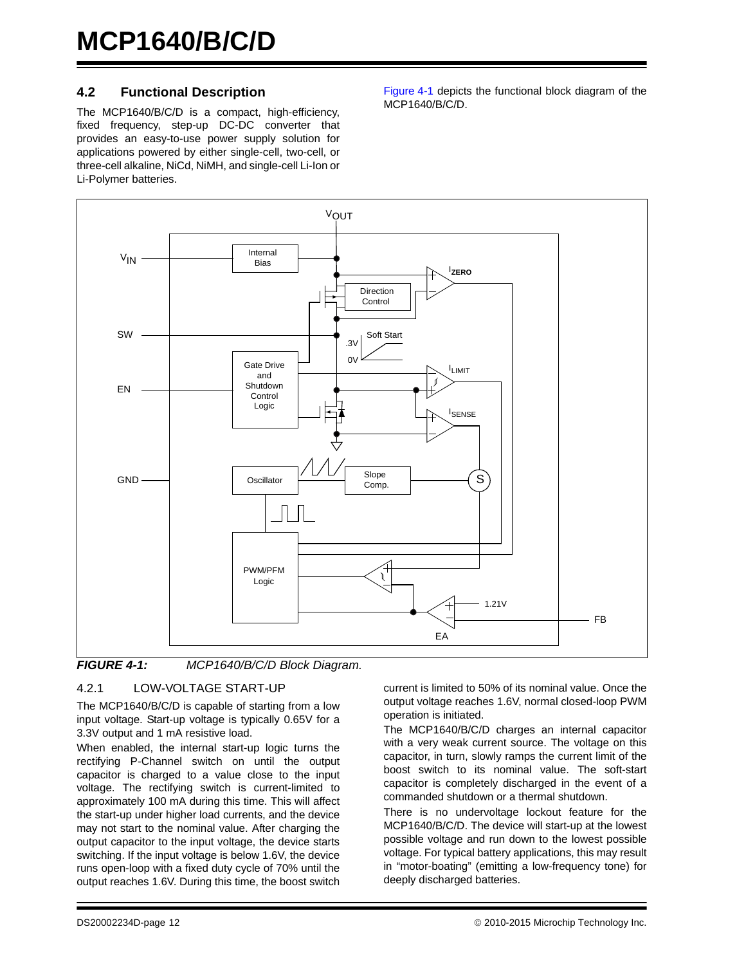### **4.2 Functional Description**

The MCP1640/B/C/D is a compact, high-efficiency, fixed frequency, step-up DC-DC converter that provides an easy-to-use power supply solution for applications powered by either single-cell, two-cell, or three-cell alkaline, NiCd, NiMH, and single-cell Li-Ion or Li-Polymer batteries.

[Figure 4-1](#page-11-0) depicts the functional block diagram of the MCP1640/B/C/D.



<span id="page-11-1"></span><span id="page-11-0"></span>

#### 4.2.1 LOW-VOLTAGE START-UP

The MCP1640/B/C/D is capable of starting from a low input voltage. Start-up voltage is typically 0.65V for a 3.3V output and 1 mA resistive load.

When enabled, the internal start-up logic turns the rectifying P-Channel switch on until the output capacitor is charged to a value close to the input voltage. The rectifying switch is current-limited to approximately 100 mA during this time. This will affect the start-up under higher load currents, and the device may not start to the nominal value. After charging the output capacitor to the input voltage, the device starts switching. If the input voltage is below 1.6V, the device runs open-loop with a fixed duty cycle of 70% until the output reaches 1.6V. During this time, the boost switch

current is limited to 50% of its nominal value. Once the output voltage reaches 1.6V, normal closed-loop PWM operation is initiated.

The MCP1640/B/C/D charges an internal capacitor with a very weak current source. The voltage on this capacitor, in turn, slowly ramps the current limit of the boost switch to its nominal value. The soft-start capacitor is completely discharged in the event of a commanded shutdown or a thermal shutdown.

There is no undervoltage lockout feature for the MCP1640/B/C/D. The device will start-up at the lowest possible voltage and run down to the lowest possible voltage. For typical battery applications, this may result in "motor-boating" (emitting a low-frequency tone) for deeply discharged batteries.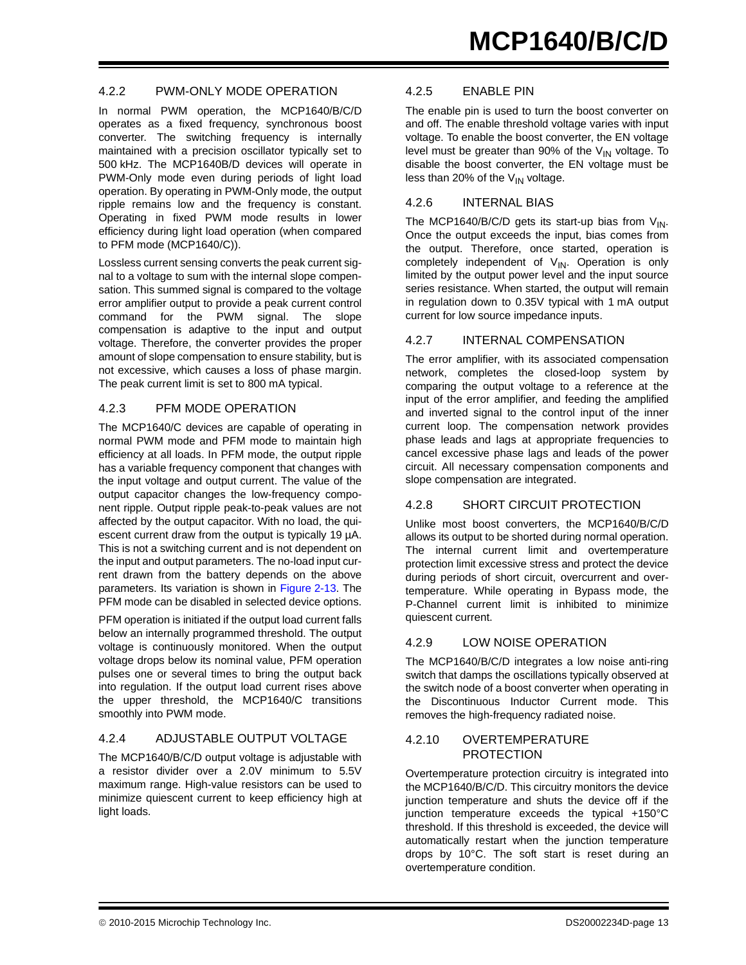### 4.2.2 PWM-ONLY MODE OPERATION

In normal PWM operation, the MCP1640/B/C/D operates as a fixed frequency, synchronous boost converter. The switching frequency is internally maintained with a precision oscillator typically set to 500 kHz. The MCP1640B/D devices will operate in PWM-Only mode even during periods of light load operation. By operating in PWM-Only mode, the output ripple remains low and the frequency is constant. Operating in fixed PWM mode results in lower efficiency during light load operation (when compared to PFM mode (MCP1640/C)).

Lossless current sensing converts the peak current signal to a voltage to sum with the internal slope compensation. This summed signal is compared to the voltage error amplifier output to provide a peak current control command for the PWM signal. The slope compensation is adaptive to the input and output voltage. Therefore, the converter provides the proper amount of slope compensation to ensure stability, but is not excessive, which causes a loss of phase margin. The peak current limit is set to 800 mA typical.

#### 4.2.3 PFM MODE OPERATION

The MCP1640/C devices are capable of operating in normal PWM mode and PFM mode to maintain high efficiency at all loads. In PFM mode, the output ripple has a variable frequency component that changes with the input voltage and output current. The value of the output capacitor changes the low-frequency component ripple. Output ripple peak-to-peak values are not affected by the output capacitor. With no load, the quiescent current draw from the output is typically 19  $\mu$ A. This is not a switching current and is not dependent on the input and output parameters. The no-load input current drawn from the battery depends on the above parameters. Its variation is shown in [Figure 2-13.](#page-6-0) The PFM mode can be disabled in selected device options.

PFM operation is initiated if the output load current falls below an internally programmed threshold. The output voltage is continuously monitored. When the output voltage drops below its nominal value, PFM operation pulses one or several times to bring the output back into regulation. If the output load current rises above the upper threshold, the MCP1640/C transitions smoothly into PWM mode.

### 4.2.4 ADJUSTABLE OUTPUT VOLTAGE

The MCP1640/B/C/D output voltage is adjustable with a resistor divider over a 2.0V minimum to 5.5V maximum range. High-value resistors can be used to minimize quiescent current to keep efficiency high at light loads.

#### 4.2.5 ENABLE PIN

The enable pin is used to turn the boost converter on and off. The enable threshold voltage varies with input voltage. To enable the boost converter, the EN voltage level must be greater than 90% of the  $V_{IN}$  voltage. To disable the boost converter, the EN voltage must be less than 20% of the  $V_{IN}$  voltage.

### 4.2.6 INTERNAL BIAS

The MCP1640/B/C/D gets its start-up bias from  $V_{IN}$ . Once the output exceeds the input, bias comes from the output. Therefore, once started, operation is completely independent of  $V_{IN}$ . Operation is only limited by the output power level and the input source series resistance. When started, the output will remain in regulation down to 0.35V typical with 1 mA output current for low source impedance inputs.

#### 4.2.7 INTERNAL COMPENSATION

The error amplifier, with its associated compensation network, completes the closed-loop system by comparing the output voltage to a reference at the input of the error amplifier, and feeding the amplified and inverted signal to the control input of the inner current loop. The compensation network provides phase leads and lags at appropriate frequencies to cancel excessive phase lags and leads of the power circuit. All necessary compensation components and slope compensation are integrated.

### 4.2.8 SHORT CIRCUIT PROTECTION

Unlike most boost converters, the MCP1640/B/C/D allows its output to be shorted during normal operation. The internal current limit and overtemperature protection limit excessive stress and protect the device during periods of short circuit, overcurrent and overtemperature. While operating in Bypass mode, the P-Channel current limit is inhibited to minimize quiescent current.

### 4.2.9 LOW NOISE OPERATION

The MCP1640/B/C/D integrates a low noise anti-ring switch that damps the oscillations typically observed at the switch node of a boost converter when operating in the Discontinuous Inductor Current mode. This removes the high-frequency radiated noise.

#### 4.2.10 OVERTEMPERATURE PROTECTION

Overtemperature protection circuitry is integrated into the MCP1640/B/C/D. This circuitry monitors the device junction temperature and shuts the device off if the junction temperature exceeds the typical +150°C threshold. If this threshold is exceeded, the device will automatically restart when the junction temperature drops by 10°C. The soft start is reset during an overtemperature condition.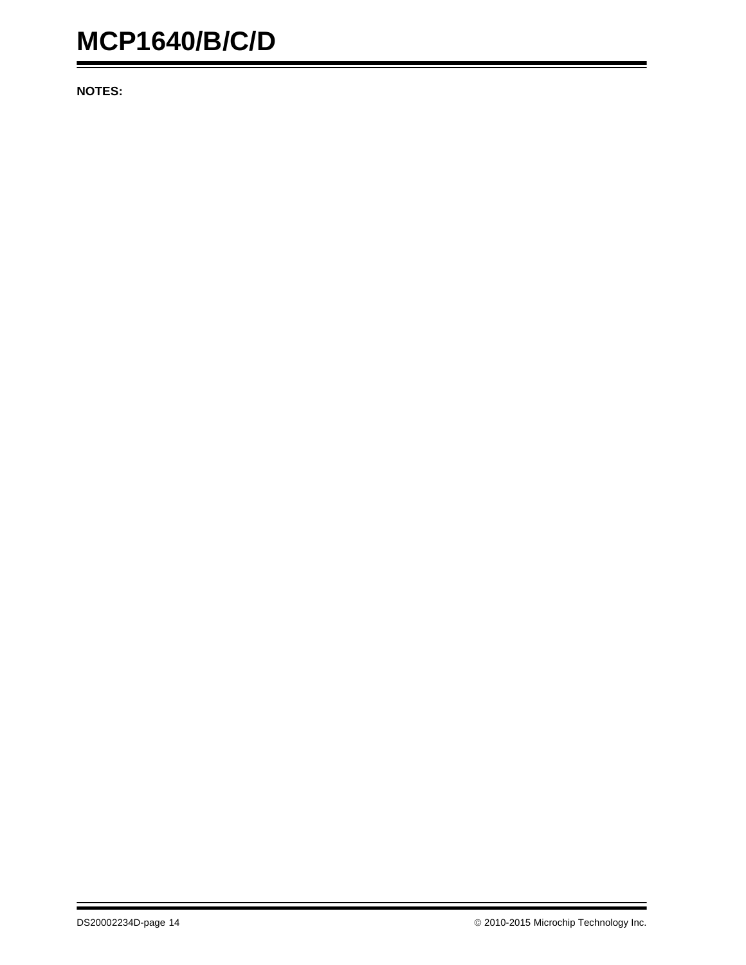**NOTES:**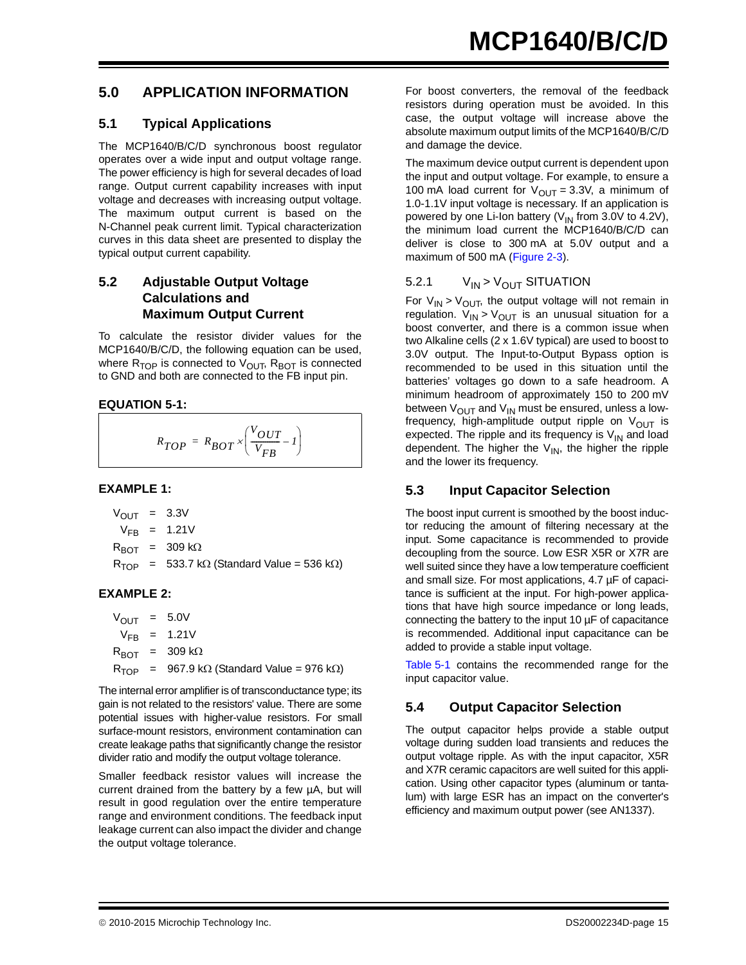# **5.0 APPLICATION INFORMATION**

# **5.1 Typical Applications**

The MCP1640/B/C/D synchronous boost regulator operates over a wide input and output voltage range. The power efficiency is high for several decades of load range. Output current capability increases with input voltage and decreases with increasing output voltage. The maximum output current is based on the N-Channel peak current limit. Typical characterization curves in this data sheet are presented to display the typical output current capability.

# <span id="page-14-1"></span>**5.2 Adjustable Output Voltage Calculations and Maximum Output Current**

To calculate the resistor divider values for the MCP1640/B/C/D, the following equation can be used, where  $R_{\text{TOP}}$  is connected to  $V_{\text{OUT}}$ ,  $R_{\text{BOT}}$  is connected to GND and both are connected to the FB input pin.

# **EQUATION 5-1:**

$$
R_{TOP} = R_{BOT} \times \left(\frac{V_{OUT}}{V_{FB}} - 1\right)
$$

### **EXAMPLE 1:**

 $V_{\text{OUT}}$  = 3.3V  $V_{FB}$  = 1.21V  $R_{\text{BOT}}$  = 309 k $\Omega$  $R_{\text{TOP}} = 533.7 \text{ k}\Omega$  (Standard Value = 536 k $\Omega$ )

# **EXAMPLE 2:**

| $V_{OUT}$ = 5.0V |                                                       |
|------------------|-------------------------------------------------------|
|                  | $V_{FB}$ = 1.21V                                      |
|                  | $R_{\text{BOT}} = 309 \text{ k}\Omega$                |
|                  | $R_{\text{TOP}}$ = 967.9 kΩ (Standard Value = 976 kΩ) |
|                  |                                                       |

The internal error amplifier is of transconductance type; its gain is not related to the resistors' value. There are some potential issues with higher-value resistors. For small surface-mount resistors, environment contamination can create leakage paths that significantly change the resistor divider ratio and modify the output voltage tolerance.

Smaller feedback resistor values will increase the current drained from the battery by a few µA, but will result in good regulation over the entire temperature range and environment conditions. The feedback input leakage current can also impact the divider and change the output voltage tolerance.

For boost converters, the removal of the feedback resistors during operation must be avoided. In this case, the output voltage will increase above the absolute maximum output limits of the MCP1640/B/C/D and damage the device.

The maximum device output current is dependent upon the input and output voltage. For example, to ensure a 100 mA load current for  $V_{\text{OUT}} = 3.3V$ , a minimum of 1.0-1.1V input voltage is necessary. If an application is powered by one Li-Ion battery ( $V_{IN}$  from 3.0V to 4.2V), the minimum load current the MCP1640/B/C/D can deliver is close to 300 mA at 5.0V output and a maximum of 500 mA ([Figure 2-3\)](#page-4-0).

# 5.2.1  $V_{IN} > V_{OUT}$  SITUATION

For  $V_{IN}$  >  $V_{OUT}$ , the output voltage will not remain in regulation.  $V_{IN} > V_{OUT}$  is an unusual situation for a boost converter, and there is a common issue when two Alkaline cells (2 x 1.6V typical) are used to boost to 3.0V output. The Input-to-Output Bypass option is recommended to be used in this situation until the batteries' voltages go down to a safe headroom. A minimum headroom of approximately 150 to 200 mV between  $V_{\text{OUT}}$  and  $V_{\text{IN}}$  must be ensured, unless a lowfrequency, high-amplitude output ripple on  $V_{\text{OUT}}$  is expected. The ripple and its frequency is  $V_{IN}$  and load dependent. The higher the  $V_{IN}$ , the higher the ripple and the lower its frequency.

# **5.3 Input Capacitor Selection**

The boost input current is smoothed by the boost inductor reducing the amount of filtering necessary at the input. Some capacitance is recommended to provide decoupling from the source. Low ESR X5R or X7R are well suited since they have a low temperature coefficient and small size. For most applications, 4.7 µF of capacitance is sufficient at the input. For high-power applications that have high source impedance or long leads, connecting the battery to the input 10 µF of capacitance is recommended. Additional input capacitance can be added to provide a stable input voltage.

[Table 5-1](#page-15-0) contains the recommended range for the input capacitor value.

# <span id="page-14-0"></span>**5.4 Output Capacitor Selection**

The output capacitor helps provide a stable output voltage during sudden load transients and reduces the output voltage ripple. As with the input capacitor, X5R and X7R ceramic capacitors are well suited for this application. Using other capacitor types (aluminum or tantalum) with large ESR has an impact on the converter's efficiency and maximum output power (see AN1337).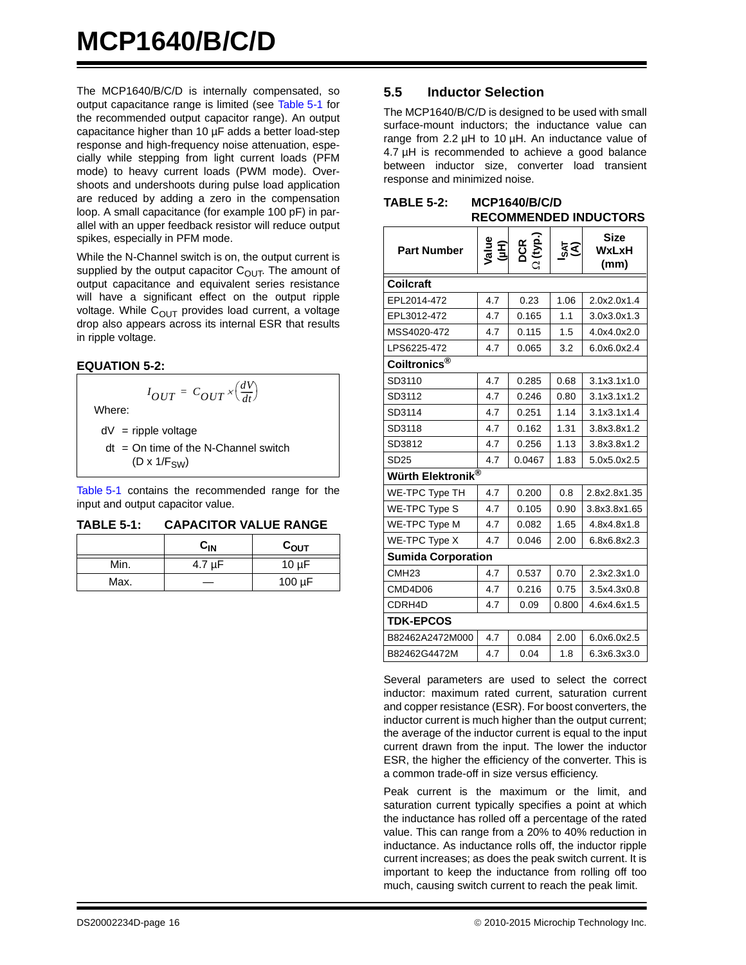The MCP1640/B/C/D is internally compensated, so output capacitance range is limited (see [Table 5-1](#page-15-0) for the recommended output capacitor range). An output capacitance higher than 10 µF adds a better load-step response and high-frequency noise attenuation, especially while stepping from light current loads (PFM mode) to heavy current loads (PWM mode). Overshoots and undershoots during pulse load application are reduced by adding a zero in the compensation loop. A small capacitance (for example 100 pF) in parallel with an upper feedback resistor will reduce output spikes, especially in PFM mode.

While the N-Channel switch is on, the output current is supplied by the output capacitor  $C_{\text{OUT}}$ . The amount of output capacitance and equivalent series resistance will have a significant effect on the output ripple voltage. While  $C_{\text{OUT}}$  provides load current, a voltage drop also appears across its internal ESR that results in ripple voltage.

#### **EQUATION 5-2:**

$$
I_{OUT} = C_{OUT} \times \left(\frac{dV}{dt}\right)
$$

Where:

- $dV =$  ripple voltage
- $dt = On time of the N-Channel switch$  $(D \times 1/F_{SW})$

[Table 5-1](#page-15-0) contains the recommended range for the input and output capacitor value.

<span id="page-15-0"></span>

| <b>CAPACITOR VALUE RANGE</b><br><b>TABLE 5-1:</b> |
|---------------------------------------------------|
|---------------------------------------------------|

|      | $c_{\sf IN}$             | $c_{\text{out}}$ |
|------|--------------------------|------------------|
| Min. | $4.7 \mu F$              | $10 \mu F$       |
| Max. | $\overline{\phantom{0}}$ | $100 \mu F$      |

# **5.5 Inductor Selection**

The MCP1640/B/C/D is designed to be used with small surface-mount inductors; the inductance value can range from 2.2 µH to 10 µH. An inductance value of 4.7 µH is recommended to achieve a good balance between inductor size, converter load transient response and minimized noise.

<span id="page-15-1"></span>

| <b>TABLE 5-2:</b> | <b>MCP1640/B/C/D</b>         |
|-------------------|------------------------------|
|                   | <b>RECOMMENDED INDUCTORS</b> |

| <b>Part Number</b>        | Value<br>(HH) | DCR<br>Q (typ.) | रू<br>इ | <b>Size</b><br>WxLxH<br>(mm) |  |
|---------------------------|---------------|-----------------|---------|------------------------------|--|
| Coilcraft                 |               |                 |         |                              |  |
| EPL2014-472               | 4.7           | 0.23            | 1.06    | 2.0x2.0x1.4                  |  |
| EPL3012-472               | 4.7           | 0.165           | 1.1     | 3.0x3.0x1.3                  |  |
| MSS4020-472               | 4.7           | 0.115           | 1.5     | 4.0x4.0x2.0                  |  |
| LPS6225-472               | 4.7           | 0.065           | 3.2     | 6.0x6.0x2.4                  |  |
| Coiltronics <sup>®</sup>  |               |                 |         |                              |  |
| SD3110                    | 4.7           | 0.285           | 0.68    | 3.1x3.1x1.0                  |  |
| SD3112                    | 4.7           | 0.246           | 0.80    | 3.1x3.1x1.2                  |  |
| SD3114                    | 4.7           | 0.251           | 1.14    | 3.1x3.1x1.4                  |  |
| SD3118                    | 4.7           | 0.162           | 1.31    | 3.8x3.8x1.2                  |  |
| SD3812                    | 4.7           | 0.256           | 1.13    | 3.8x3.8x1.2                  |  |
| <b>SD25</b>               | 4.7           | 0.0467          | 1.83    | 5.0x5.0x2.5                  |  |
| Würth Elektronik®         |               |                 |         |                              |  |
| <b>WE-TPC Type TH</b>     | 4.7           | 0.200           | 0.8     | 2.8x2.8x1.35                 |  |
| WE-TPC Type S             | 4.7           | 0.105           | 0.90    | 3.8x3.8x1.65                 |  |
| WE-TPC Type M             | 4.7           | 0.082           | 1.65    | 4.8x4.8x1.8                  |  |
| WE-TPC Type X             | 4.7           | 0.046           | 2.00    | 6.8x6.8x2.3                  |  |
| <b>Sumida Corporation</b> |               |                 |         |                              |  |
| CMH <sub>23</sub>         | 4.7           | 0.537           | 0.70    | 2.3x2.3x1.0                  |  |
| CMD4D06                   | 4.7           | 0.216           | 0.75    | 3.5x4.3x0.8                  |  |
| CDRH4D                    | 4.7           | 0.09            | 0.800   | 4.6x4.6x1.5                  |  |
| <b>TDK-EPCOS</b>          |               |                 |         |                              |  |
| B82462A2472M000           | 4.7           | 0.084           | 2.00    | 6.0x6.0x2.5                  |  |
| B82462G4472M              | 4.7           | 0.04            | 1.8     | 6.3x6.3x3.0                  |  |

Several parameters are used to select the correct inductor: maximum rated current, saturation current and copper resistance (ESR). For boost converters, the inductor current is much higher than the output current; the average of the inductor current is equal to the input current drawn from the input. The lower the inductor ESR, the higher the efficiency of the converter. This is a common trade-off in size versus efficiency.

Peak current is the maximum or the limit, and saturation current typically specifies a point at which the inductance has rolled off a percentage of the rated value. This can range from a 20% to 40% reduction in inductance. As inductance rolls off, the inductor ripple current increases; as does the peak switch current. It is important to keep the inductance from rolling off too much, causing switch current to reach the peak limit.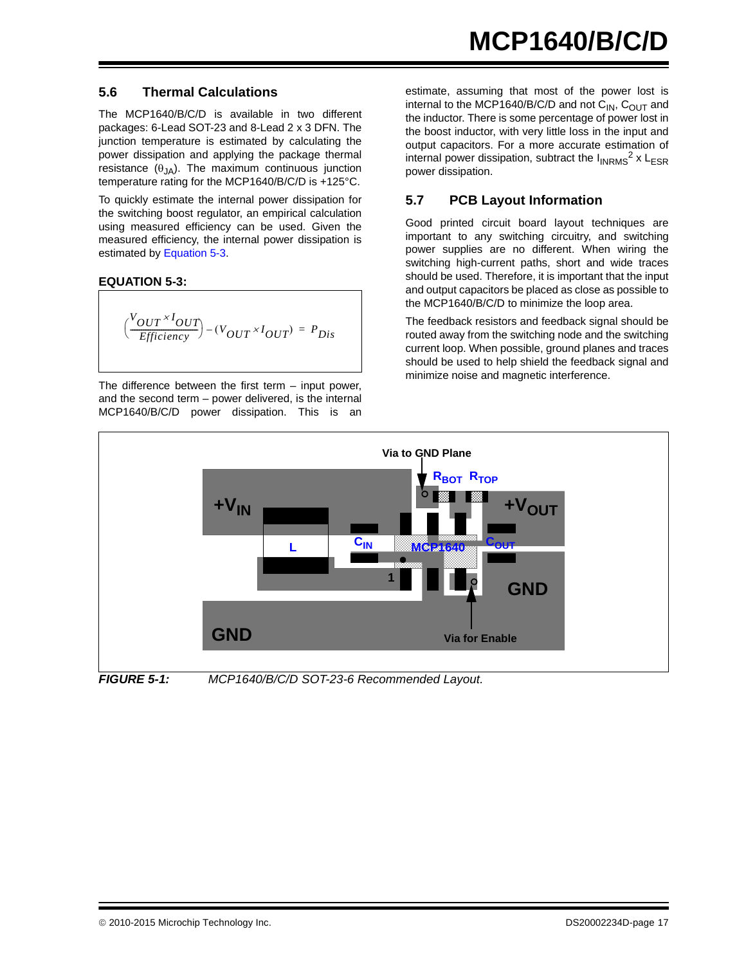# **5.6 Thermal Calculations**

The MCP1640/B/C/D is available in two different packages: 6-Lead SOT-23 and 8-Lead 2 x 3 DFN. The junction temperature is estimated by calculating the power dissipation and applying the package thermal resistance  $(\theta_{JA})$ . The maximum continuous junction temperature rating for the MCP1640/B/C/D is +125°C.

To quickly estimate the internal power dissipation for the switching boost regulator, an empirical calculation using measured efficiency can be used. Given the measured efficiency, the internal power dissipation is estimated by [Equation 5-3](#page-16-0).

#### <span id="page-16-0"></span>**EQUATION 5-3:**

$$
\Big(\frac{V_{OUT} \times I_{OUT}}{Efficiency}\Big) - (V_{OUT} \times I_{OUT}) = P_{Dis}
$$

The difference between the first term  $-$  input power, and the second term – power delivered, is the internal MCP1640/B/C/D power dissipation. This is an estimate, assuming that most of the power lost is internal to the MCP1640/B/C/D and not  $C_{IN}$ ,  $C_{OUT}$  and the inductor. There is some percentage of power lost in the boost inductor, with very little loss in the input and output capacitors. For a more accurate estimation of internal power dissipation, subtract the  $I_{INRMS}^2$  x L<sub>ESR</sub> power dissipation.

# **5.7 PCB Layout Information**

Good printed circuit board layout techniques are important to any switching circuitry, and switching power supplies are no different. When wiring the switching high-current paths, short and wide traces should be used. Therefore, it is important that the input and output capacitors be placed as close as possible to the MCP1640/B/C/D to minimize the loop area.

The feedback resistors and feedback signal should be routed away from the switching node and the switching current loop. When possible, ground planes and traces should be used to help shield the feedback signal and minimize noise and magnetic interference.



*FIGURE 5-1: MCP1640/B/C/D SOT-23-6 Recommended Layout.*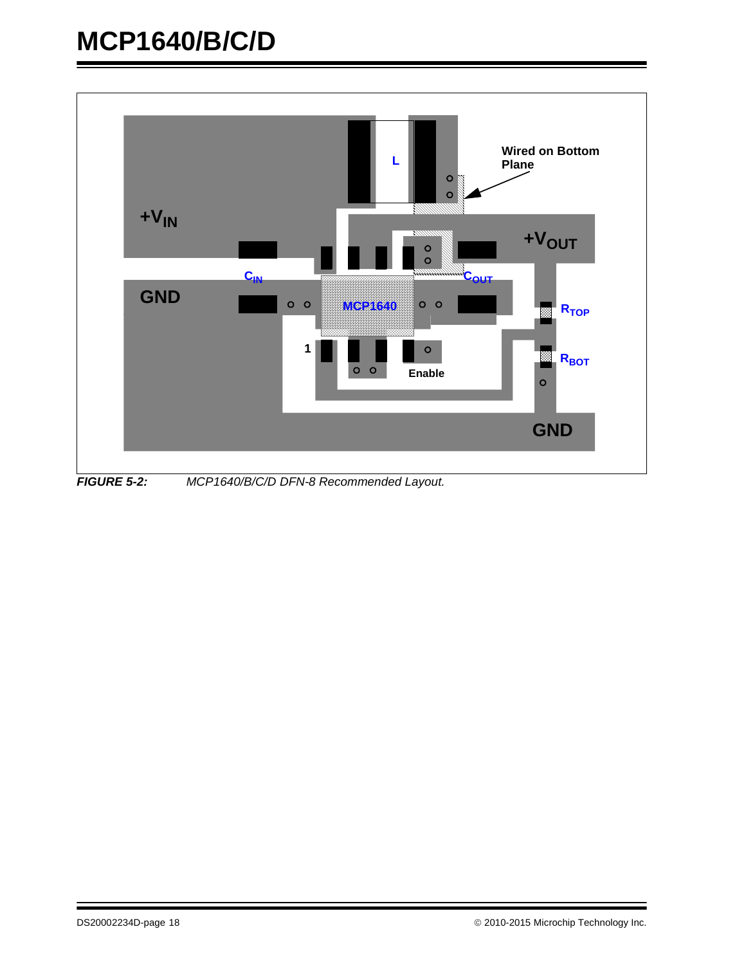

*FIGURE 5-2: MCP1640/B/C/D DFN-8 Recommended Layout.*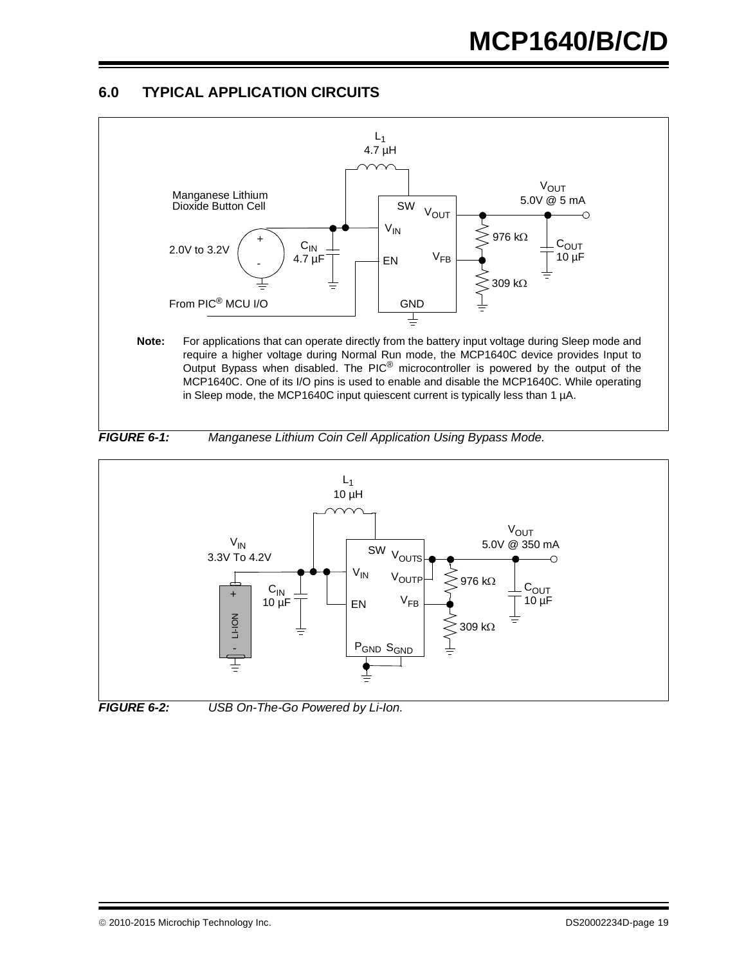# **6.0 TYPICAL APPLICATION CIRCUITS**



*FIGURE 6-1: Manganese Lithium Coin Cell Application Using Bypass Mode.*

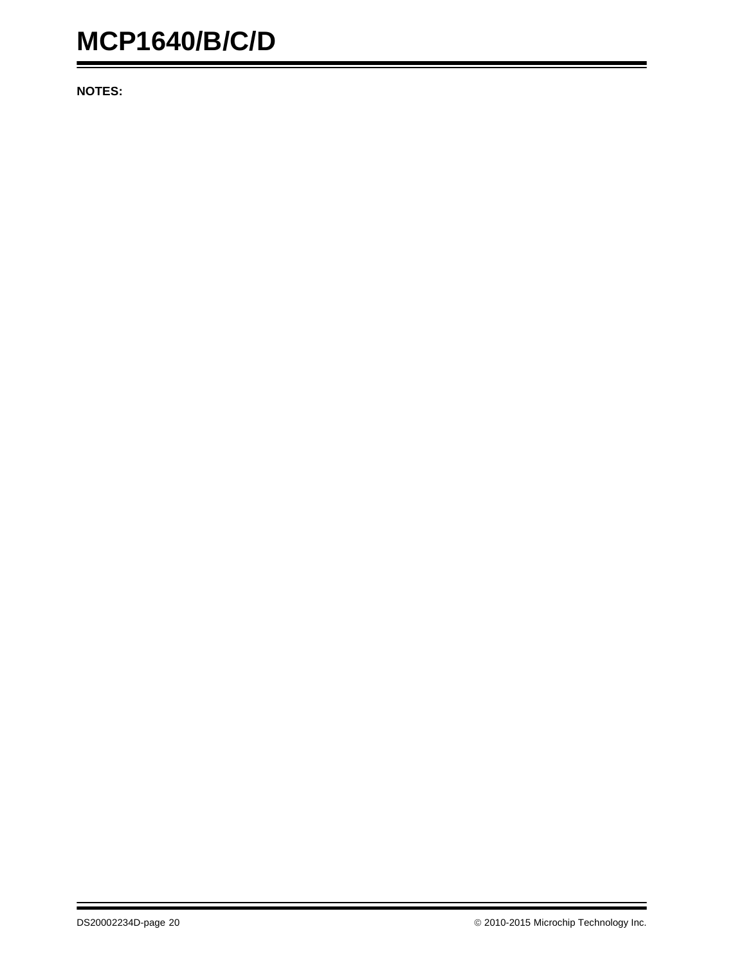**NOTES:**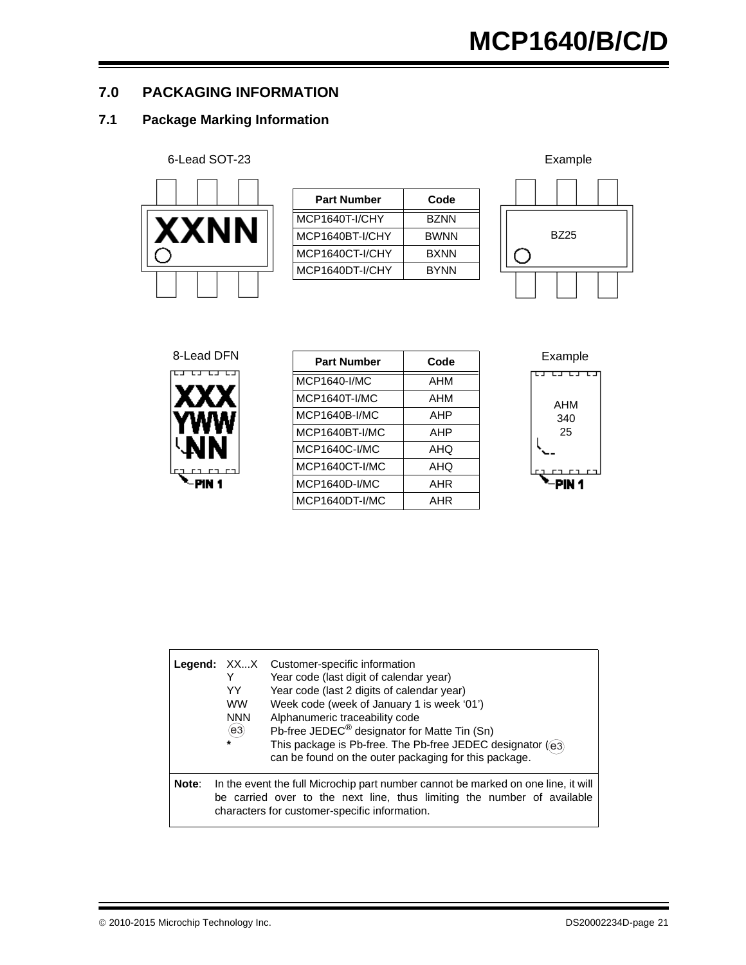# <span id="page-20-0"></span>**7.0 PACKAGING INFORMATION**

# **7.1 Package Marking Information**



| <b>Part Number</b> | Code        |
|--------------------|-------------|
| MCP1640T-I/CHY     | <b>BZNN</b> |
| MCP1640BT-I/CHY    | <b>BWNN</b> |
| MCP1640CT-I/CHY    | <b>BXNN</b> |
| MCP1640DT-I/CHY    | <b>BYNN</b> |



| 8-Lead DFN |
|------------|
|            |
|            |
|            |
|            |
|            |
|            |

пп.

Г

PIN<sub>1</sub>

 $F1. F1$ 

| <b>Part Number</b>   | Code |
|----------------------|------|
| <b>MCP1640-I/MC</b>  | AHM  |
| MCP1640T-I/MC        | AHM  |
| <b>MCP1640B-I/MC</b> | AHP  |
| MCP1640BT-I/MC       | AHP  |
| <b>MCP1640C-I/MC</b> | AHQ  |
| MCP1640CT-I/MC       | AHQ  |
| MCP1640D-I/MC        | AHR  |
| MCP1640DT-I/MC       | AHR  |



|       | Y<br>YY<br><b>WW</b><br><b>NNN</b><br>(e3)<br>$\star$                                                                                                                                                         | <b>Legend:</b> XXX Customer-specific information<br>Year code (last digit of calendar year)<br>Year code (last 2 digits of calendar year)<br>Week code (week of January 1 is week '01')<br>Alphanumeric traceability code<br>Pb-free JEDEC <sup>®</sup> designator for Matte Tin (Sn)<br>This package is Pb-free. The Pb-free JEDEC designator $(g_3)$<br>can be found on the outer packaging for this package. |  |  |  |
|-------|---------------------------------------------------------------------------------------------------------------------------------------------------------------------------------------------------------------|-----------------------------------------------------------------------------------------------------------------------------------------------------------------------------------------------------------------------------------------------------------------------------------------------------------------------------------------------------------------------------------------------------------------|--|--|--|
| Note: | In the event the full Microchip part number cannot be marked on one line, it will<br>be carried over to the next line, thus limiting the number of available<br>characters for customer-specific information. |                                                                                                                                                                                                                                                                                                                                                                                                                 |  |  |  |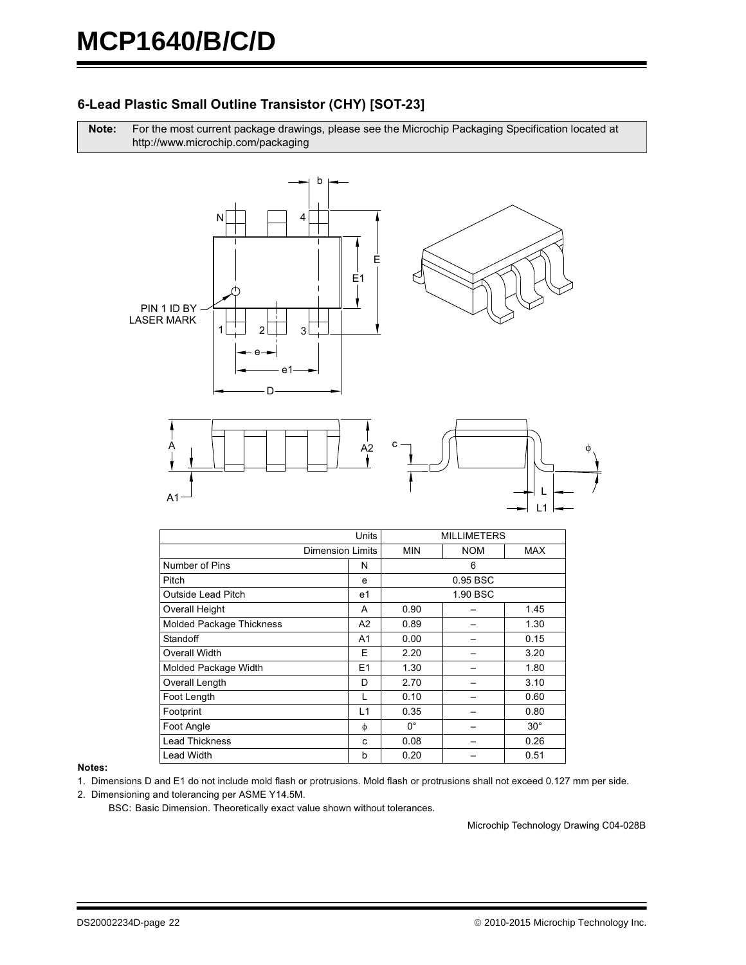# **6-Lead Plastic Small Outline Transistor (CHY) [SOT-23]**

**Note:** For the most current package drawings, please see the Microchip Packaging Specification located at http://www.microchip.com/packaging



|                                 | Units                   |             | <b>MILLIMETERS</b> |            |  |
|---------------------------------|-------------------------|-------------|--------------------|------------|--|
|                                 | <b>Dimension Limits</b> |             |                    | <b>MAX</b> |  |
| Number of Pins                  | N                       |             | 6                  |            |  |
| Pitch                           | e                       |             | 0.95 BSC           |            |  |
| Outside Lead Pitch              | e1                      | 1.90 BSC    |                    |            |  |
| Overall Height                  | A                       | 0.90        |                    | 1.45       |  |
| <b>Molded Package Thickness</b> | A2                      | 0.89        |                    | 1.30       |  |
| Standoff                        | A1                      | 0.00        |                    | 0.15       |  |
| Overall Width                   | F                       | 2.20        |                    | 3.20       |  |
| Molded Package Width            | E <sub>1</sub>          | 1.30        |                    | 1.80       |  |
| Overall Length                  | D                       | 2.70        |                    | 3.10       |  |
| Foot Length                     | L                       | 0.10        |                    | 0.60       |  |
| Footprint                       | L1                      | 0.35        |                    | 0.80       |  |
| Foot Angle                      | φ                       | $0^{\circ}$ |                    | $30^\circ$ |  |
| <b>Lead Thickness</b>           | c                       | 0.08        |                    | 0.26       |  |
| <b>Lead Width</b>               | b                       | 0.20        |                    | 0.51       |  |

#### **Notes:**

1. Dimensions D and E1 do not include mold flash or protrusions. Mold flash or protrusions shall not exceed 0.127 mm per side.

2. Dimensioning and tolerancing per ASME Y14.5M.

A1

BSC: Basic Dimension. Theoretically exact value shown without tolerances.

Microchip Technology Drawing C04-028B

L  $\overline{1}$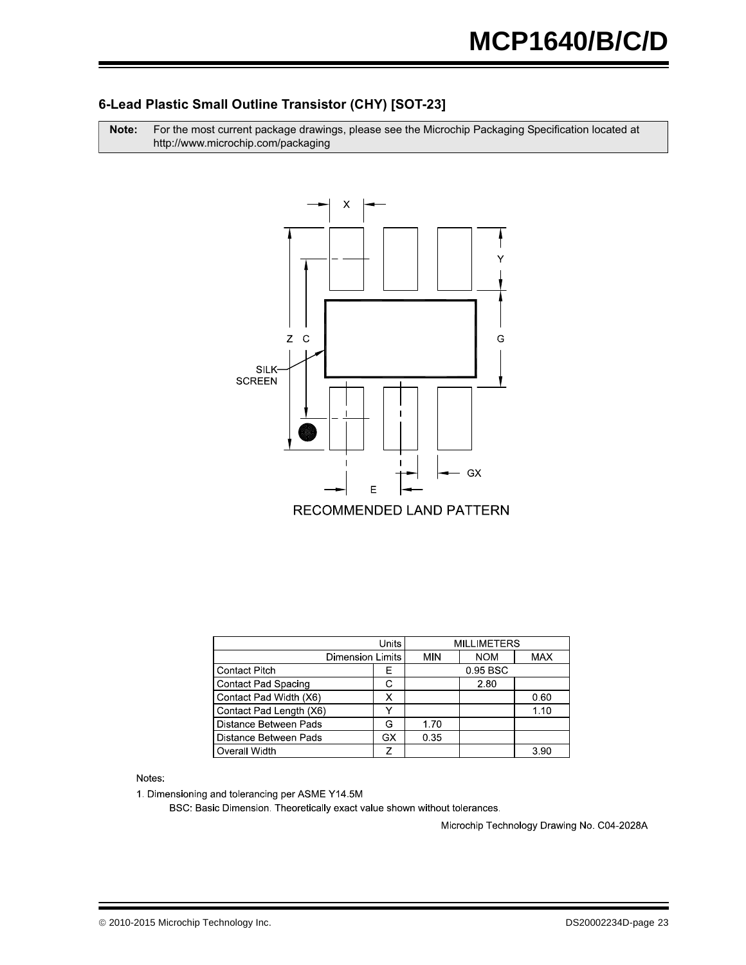# **6-Lead Plastic Small Outline Transistor (CHY) [SOT-23]**

**Note:** For the most current package drawings, please see the Microchip Packaging Specification located at http://www.microchip.com/packaging



|                            | <b>Units</b><br><b>MILLIMETERS</b> |            |            |            |
|----------------------------|------------------------------------|------------|------------|------------|
| <b>Dimension Limits</b>    |                                    | <b>MIN</b> | <b>NOM</b> | <b>MAX</b> |
| <b>Contact Pitch</b>       | ⊢                                  | 0.95 BSC   |            |            |
| <b>Contact Pad Spacing</b> |                                    |            | 2.80       |            |
| Contact Pad Width (X6)     |                                    |            |            | 0.60       |
| Contact Pad Length (X6)    |                                    |            |            | 1.10       |
| Distance Between Pads      | G                                  | 1.70       |            |            |
| Distance Between Pads      | GX                                 | 0.35       |            |            |
| Overall Width              |                                    | 3.90       |            |            |

Notes:

1. Dimensioning and tolerancing per ASME Y14.5M

BSC: Basic Dimension. Theoretically exact value shown without tolerances.

Microchip Technology Drawing No. C04-2028A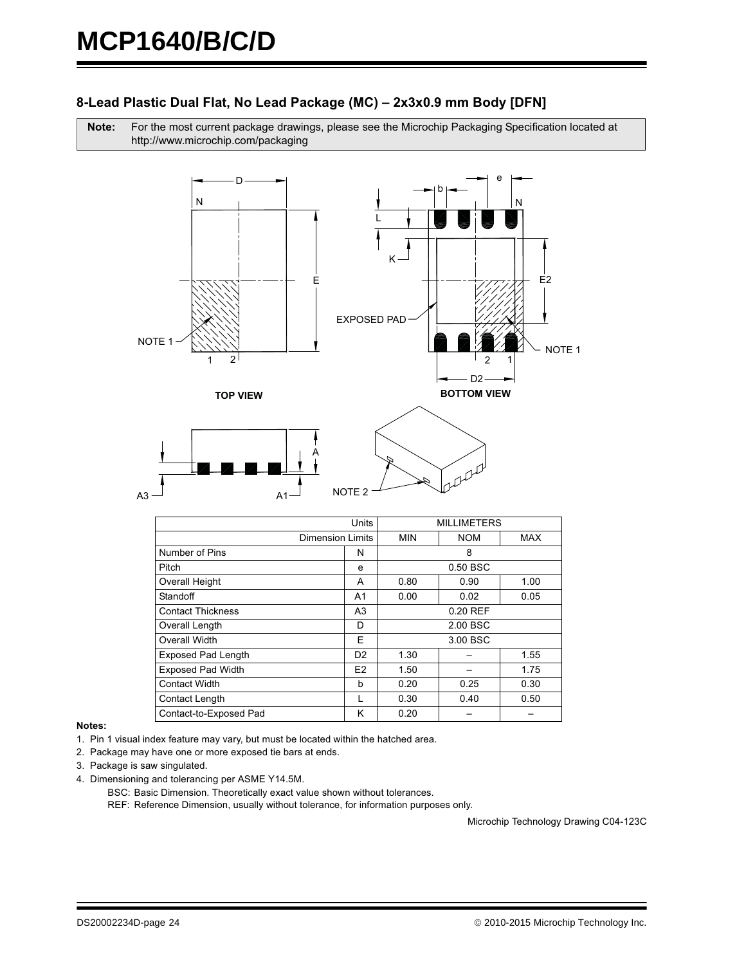# 8-Lead Plastic Dual Flat, No Lead Package (MC) – 2x3x0.9 mm Body [DFN]

Note: For the most current package drawings, please see the Microchip Packaging Specification located at http://www.microchip.com/packaging



|                           | <b>MILLIMETERS</b> |                      |            |            |  |
|---------------------------|--------------------|----------------------|------------|------------|--|
| <b>Dimension Limits</b>   |                    | <b>MIN</b>           | <b>NOM</b> | <b>MAX</b> |  |
| Number of Pins            | N                  | 8                    |            |            |  |
| Pitch                     | e                  |                      | 0.50 BSC   |            |  |
| <b>Overall Height</b>     | A                  | 0.80<br>0.90<br>1.00 |            |            |  |
| Standoff                  | A1                 | 0.05<br>0.00<br>0.02 |            |            |  |
| <b>Contact Thickness</b>  | A3                 | $0.20$ REF           |            |            |  |
| Overall Length            | D                  | 2.00 BSC             |            |            |  |
| Overall Width             | F                  | 3.00 BSC             |            |            |  |
| <b>Exposed Pad Length</b> | D <sub>2</sub>     | 1.30<br>1.55         |            |            |  |
| <b>Exposed Pad Width</b>  | E <sub>2</sub>     | 1.50<br>1.75         |            |            |  |
| <b>Contact Width</b>      | h                  | 0.20<br>0.25<br>0.30 |            |            |  |
| Contact Length            | L                  | 0.30<br>0.40<br>0.50 |            |            |  |
| Contact-to-Exposed Pad    | κ                  | 0.20                 |            |            |  |

#### Notes:

- 1. Pin 1 visual index feature may vary, but must be located within the hatched area.
- 2. Package may have one or more exposed tie bars at ends.
- 3. Package is saw singulated.
- 4. Dimensioning and tolerancing per ASME Y14.5M.
	- BSC: Basic Dimension. Theoretically exact value shown without tolerances.

REF: Reference Dimension, usually without tolerance, for information purposes only.

Microchip Technology Drawing C04-123C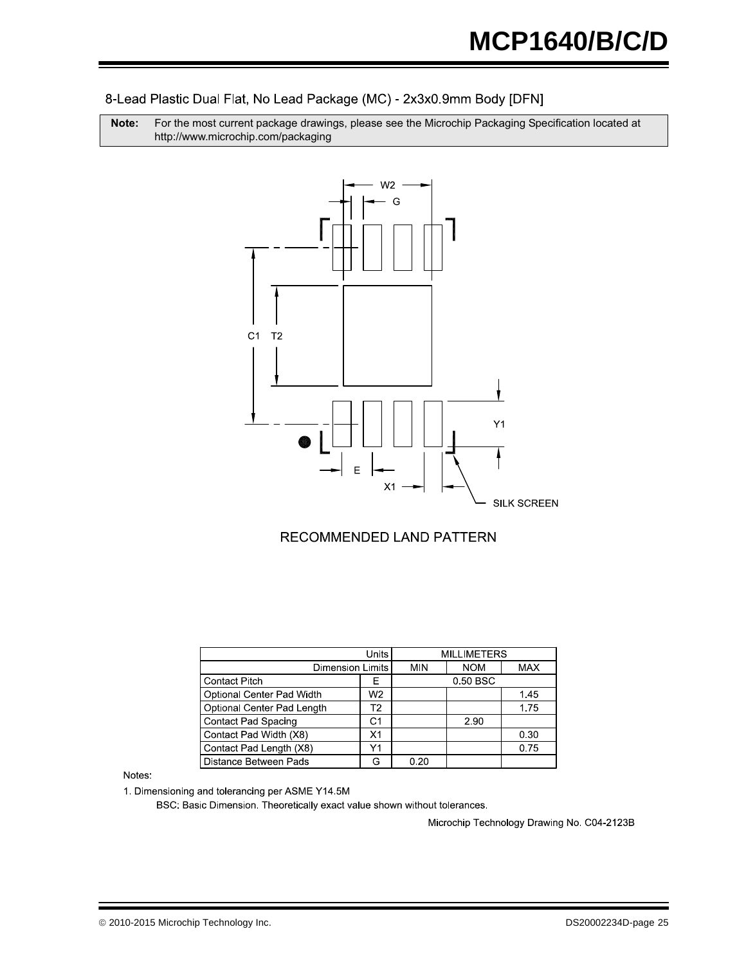8-Lead Plastic Dual Flat, No Lead Package (MC) - 2x3x0.9mm Body [DFN]

**Note:** For the most current package drawings, please see the Microchip Packaging Specification located at http://www.microchip.com/packaging



# RECOMMENDED LAND PATTERN

|                                    | Units | <b>MILLIMETERS</b> |            |            |
|------------------------------------|-------|--------------------|------------|------------|
| <b>Dimension Limits</b>            |       | <b>MIN</b>         | <b>NOM</b> | <b>MAX</b> |
| <b>Contact Pitch</b>               | Е     | 0 50 BSC           |            |            |
| Optional Center Pad Width          | W2    | 1.45               |            |            |
| Optional Center Pad Length         | Т2    | 1.75               |            |            |
| <b>Contact Pad Spacing</b>         | C1    | 2.90               |            |            |
| Contact Pad Width (X8)             | X1    |                    |            | 0.30       |
| Contact Pad Length (X8)            | Υ1    |                    |            | 0.75       |
| Distance Between Pads<br>0.20<br>G |       |                    |            |            |

Notes:

1. Dimensioning and tolerancing per ASME Y14.5M

BSC: Basic Dimension. Theoretically exact value shown without tolerances.

Microchip Technology Drawing No. C04-2123B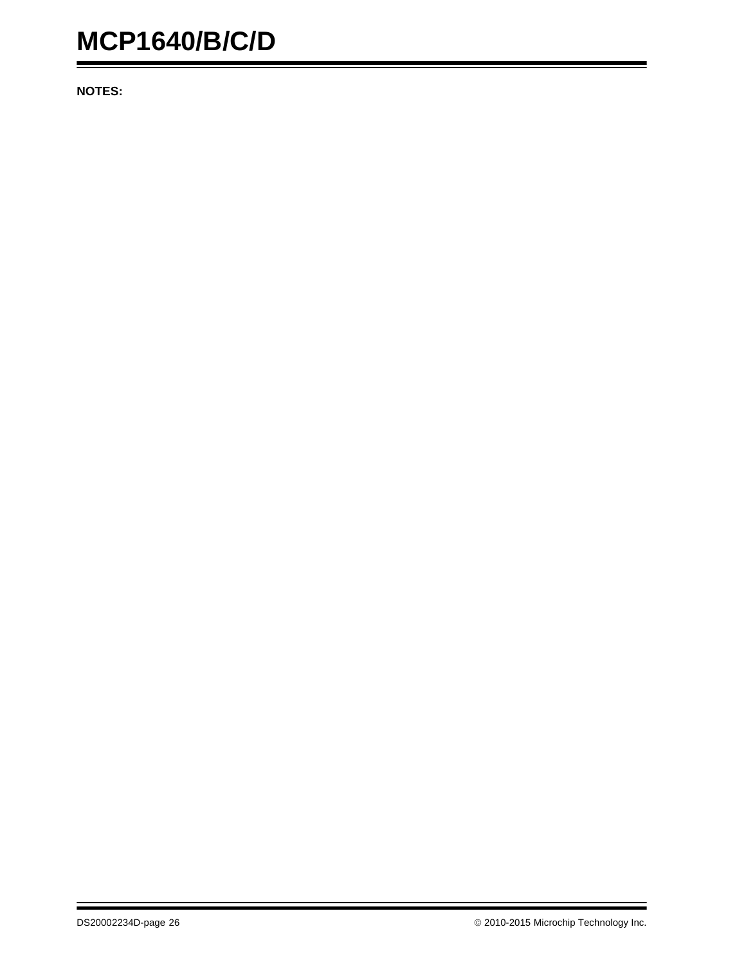**NOTES:**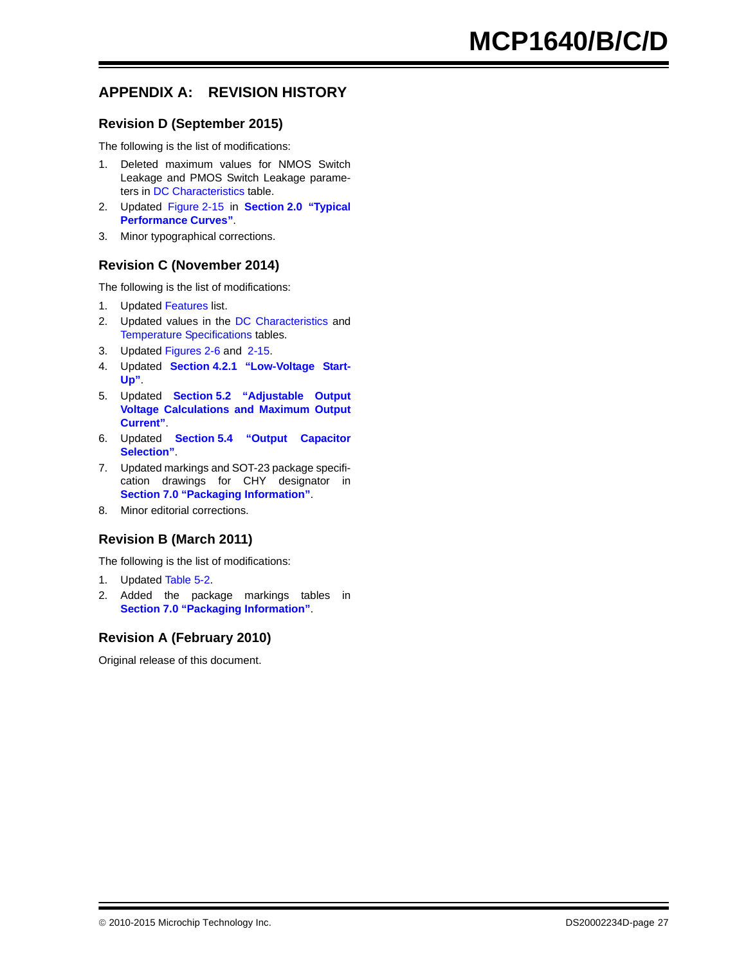# **APPENDIX A: REVISION HISTORY**

# **Revision D (September 2015)**

The following is the list of modifications:

- 1. Deleted maximum values for NMOS Switch Leakage and PMOS Switch Leakage parameters in [DC Characteristics](#page-2-5) table.
- 2. Updated [Figure 2-15](#page-6-1) in **[Section 2.0 "Typical](#page-4-2) [Performance Curves"](#page-4-2)**.
- 3. Minor typographical corrections.

# **Revision C (November 2014)**

The following is the list of modifications:

- 1. Updated [Features](#page-0-0) list.
- 2. Updated values in the [DC Characteristics](#page-2-5) and [Temperature Specifications](#page-3-0) tables.
- 3. Updated Figure[s 2-6](#page-4-1) and [2-15](#page-6-1).
- 4. Updated **[Section 4.2.1 "Low-Voltage Start-](#page-11-1)[Up"](#page-11-1)**.
- 5. Updated **[Section 5.2 "Adjustable Output](#page-14-1) [Voltage Calculations and Maximum Output](#page-14-1) [Current"](#page-14-1)**.
- 6. Updated **[Section 5.4 "Output Capacitor](#page-14-0) [Selection"](#page-14-0)**.
- 7. Updated markings and SOT-23 package specification drawings for CHY designator in **[Section 7.0 "Packaging Information"](#page-20-0)**.
- 8. Minor editorial corrections.

# **Revision B (March 2011)**

The following is the list of modifications:

- 1. Updated [Table 5-2](#page-15-1).
- 2. Added the package markings tables in **[Section 7.0 "Packaging Information"](#page-20-0)**.

# **Revision A (February 2010)**

Original release of this document.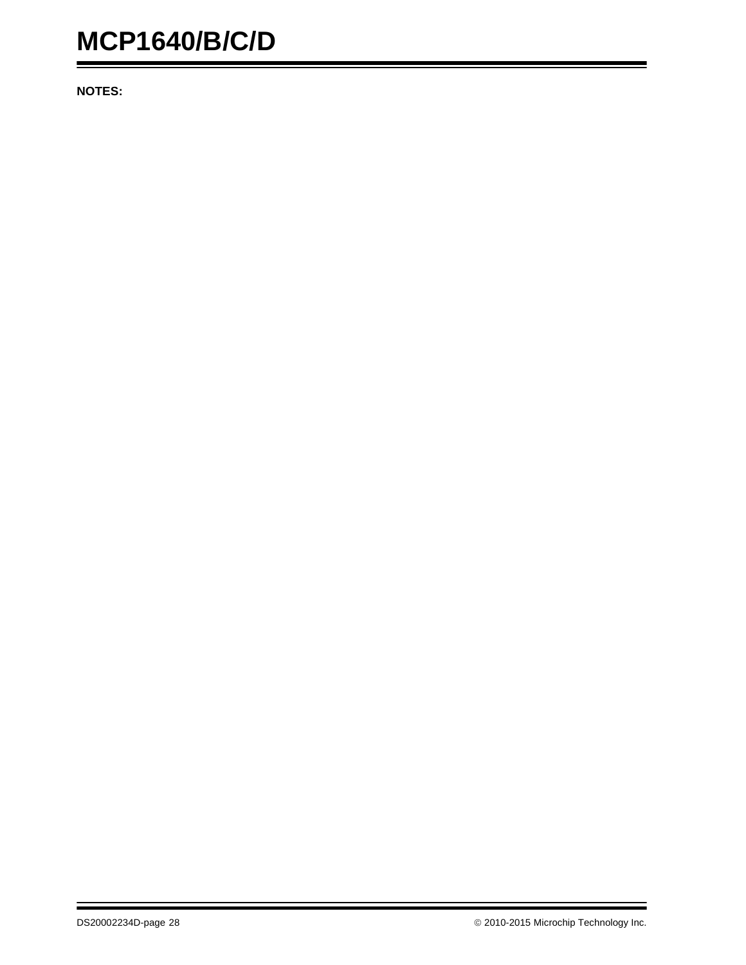**NOTES:**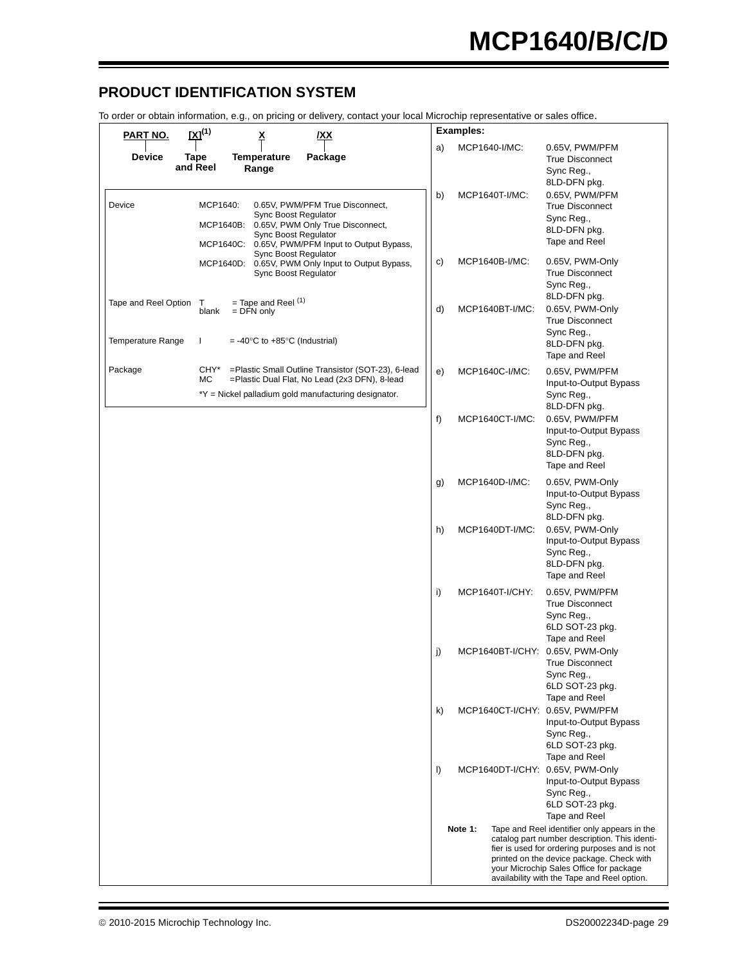# **PRODUCT IDENTIFICATION SYSTEM**

To order or obtain information, e.g., on pricing or delivery, contact your local Microchip representative or sales office.

|                                                  |                                                                                                                            | io order or obtain imomialion, e.g., on prieing or delivery, contact your local microcrilp representative or sales omee.                                    |    |           |                 |                                                                                                                                                                                                                                                                                       |
|--------------------------------------------------|----------------------------------------------------------------------------------------------------------------------------|-------------------------------------------------------------------------------------------------------------------------------------------------------------|----|-----------|-----------------|---------------------------------------------------------------------------------------------------------------------------------------------------------------------------------------------------------------------------------------------------------------------------------------|
| PART NO.                                         | $[X]^{(1)}$<br><u>x</u>                                                                                                    | <u>IXX</u>                                                                                                                                                  |    | Examples: |                 |                                                                                                                                                                                                                                                                                       |
| <b>Device</b>                                    | Tape<br><b>Temperature</b><br>and Reel<br>Range                                                                            | Package                                                                                                                                                     | a) |           | MCP1640-I/MC:   | 0.65V, PWM/PFM<br><b>True Disconnect</b><br>Sync Reg.,<br>8LD-DFN pkg.                                                                                                                                                                                                                |
| Device                                           | MCP1640:<br>Sync Boost Regulator<br>MCP1640B:<br>Sync Boost Regulator<br>Sync Boost Regulator                              | 0.65V, PWM/PFM True Disconnect,<br>0.65V, PWM Only True Disconnect,<br>MCP1640C: 0.65V, PWM/PFM Input to Output Bypass,                                     | b) |           | MCP1640T-I/MC:  | 0.65V, PWM/PFM<br><b>True Disconnect</b><br>Sync Reg.,<br>8LD-DFN pkg.<br>Tape and Reel                                                                                                                                                                                               |
|                                                  | Sync Boost Regulator                                                                                                       | MCP1640D: 0.65V, PWM Only Input to Output Bypass,                                                                                                           | c) |           | MCP1640B-I/MC:  | 0.65V, PWM-Only<br><b>True Disconnect</b><br>Sync Req.,<br>8LD-DFN pkg.                                                                                                                                                                                                               |
| Tape and Reel Option<br><b>Temperature Range</b> | $=$ Tape and Reel $(1)$<br>Τ<br>blank<br>$=$ DFN only<br>$\mathbf{L}$<br>$= -40^{\circ}$ C to $+85^{\circ}$ C (Industrial) |                                                                                                                                                             | d) |           | MCP1640BT-I/MC: | 0.65V, PWM-Only<br><b>True Disconnect</b><br>Sync Reg.,<br>8LD-DFN pkg.<br>Tape and Reel                                                                                                                                                                                              |
| Package                                          | CHY*<br>МC                                                                                                                 | =Plastic Small Outline Transistor (SOT-23), 6-lead<br>=Plastic Dual Flat, No Lead (2x3 DFN), 8-lead<br>*Y = Nickel palladium gold manufacturing designator. | e) |           | MCP1640C-I/MC:  | 0.65V, PWM/PFM<br>Input-to-Output Bypass<br>Sync Req.,<br>8LD-DFN pkg.                                                                                                                                                                                                                |
|                                                  |                                                                                                                            |                                                                                                                                                             | f) |           | MCP1640CT-I/MC: | 0.65V, PWM/PFM<br>Input-to-Output Bypass<br>Sync Reg.,<br>8LD-DFN pkg.<br>Tape and Reel                                                                                                                                                                                               |
|                                                  |                                                                                                                            |                                                                                                                                                             | g) |           | MCP1640D-I/MC:  | 0.65V, PWM-Only<br>Input-to-Output Bypass<br>Sync Reg.,<br>8LD-DFN pkg.                                                                                                                                                                                                               |
|                                                  |                                                                                                                            |                                                                                                                                                             | h) |           | MCP1640DT-I/MC: | 0.65V, PWM-Only<br>Input-to-Output Bypass<br>Sync Reg.,<br>8LD-DFN pkg.<br>Tape and Reel                                                                                                                                                                                              |
|                                                  |                                                                                                                            |                                                                                                                                                             | i) |           | MCP1640T-I/CHY: | 0.65V, PWM/PFM<br><b>True Disconnect</b><br>Sync Reg.,<br>6LD SOT-23 pkg.<br>Tape and Reel                                                                                                                                                                                            |
|                                                  |                                                                                                                            |                                                                                                                                                             | j) |           |                 | MCP1640BT-I/CHY: 0.65V, PWM-Only<br><b>True Disconnect</b><br>Sync Reg.,<br>6LD SOT-23 pkg.<br>Tape and Reel                                                                                                                                                                          |
|                                                  |                                                                                                                            |                                                                                                                                                             | k) |           |                 | MCP1640CT-I/CHY: 0.65V, PWM/PFM<br>Input-to-Output Bypass<br>Sync Reg.,<br>6LD SOT-23 pkg.<br>Tape and Reel                                                                                                                                                                           |
|                                                  |                                                                                                                            |                                                                                                                                                             | I) |           |                 | MCP1640DT-I/CHY: 0.65V, PWM-Only<br>Input-to-Output Bypass<br>Sync Reg.,<br>6LD SOT-23 pkg.<br>Tape and Reel                                                                                                                                                                          |
|                                                  |                                                                                                                            |                                                                                                                                                             |    | Note 1:   |                 | Tape and Reel identifier only appears in the<br>catalog part number description. This identi-<br>fier is used for ordering purposes and is not<br>printed on the device package. Check with<br>your Microchip Sales Office for package<br>availability with the Tape and Reel option. |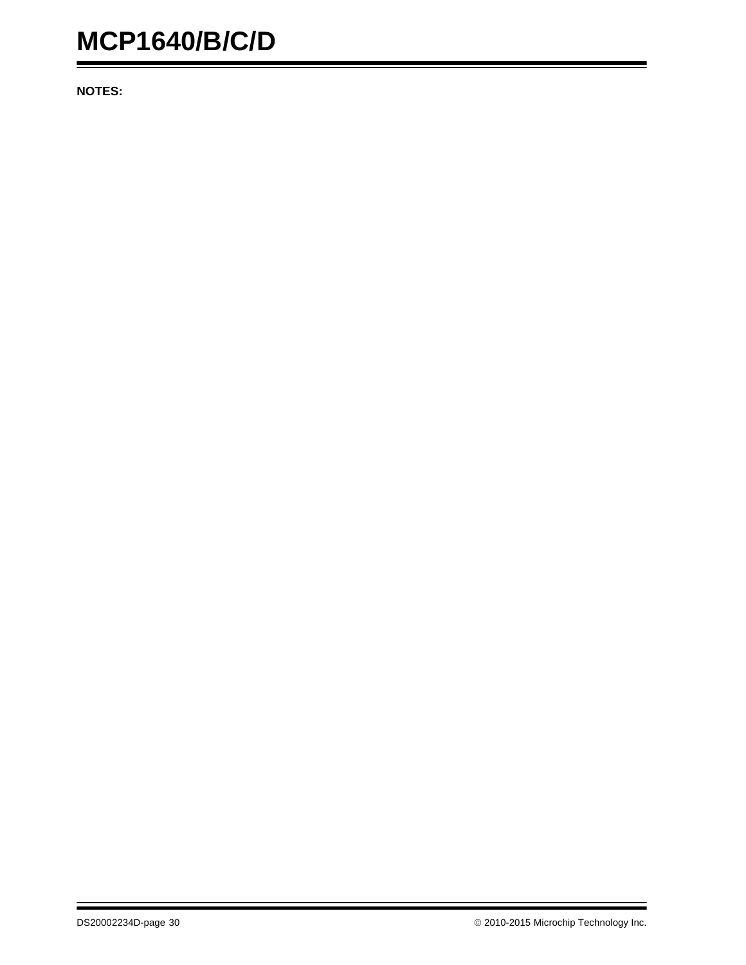**NOTES:**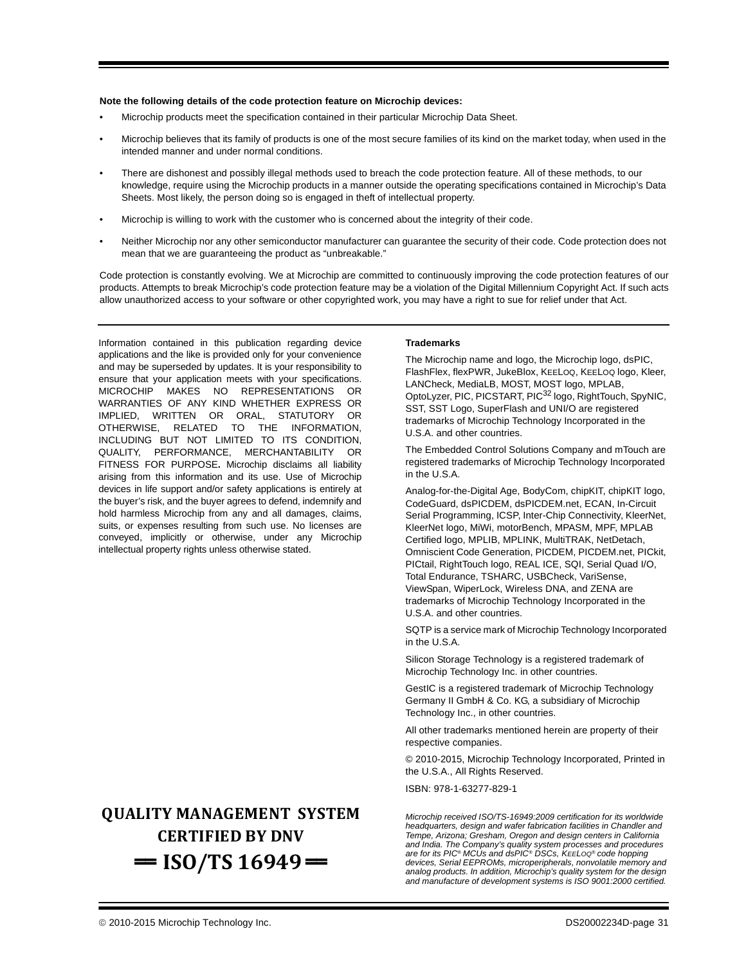#### **Note the following details of the code protection feature on Microchip devices:**

- Microchip products meet the specification contained in their particular Microchip Data Sheet.
- Microchip believes that its family of products is one of the most secure families of its kind on the market today, when used in the intended manner and under normal conditions.
- There are dishonest and possibly illegal methods used to breach the code protection feature. All of these methods, to our knowledge, require using the Microchip products in a manner outside the operating specifications contained in Microchip's Data Sheets. Most likely, the person doing so is engaged in theft of intellectual property.
- Microchip is willing to work with the customer who is concerned about the integrity of their code.
- Neither Microchip nor any other semiconductor manufacturer can guarantee the security of their code. Code protection does not mean that we are guaranteeing the product as "unbreakable."

Code protection is constantly evolving. We at Microchip are committed to continuously improving the code protection features of our products. Attempts to break Microchip's code protection feature may be a violation of the Digital Millennium Copyright Act. If such acts allow unauthorized access to your software or other copyrighted work, you may have a right to sue for relief under that Act.

Information contained in this publication regarding device applications and the like is provided only for your convenience and may be superseded by updates. It is your responsibility to ensure that your application meets with your specifications. MICROCHIP MAKES NO REPRESENTATIONS OR WARRANTIES OF ANY KIND WHETHER EXPRESS OR IMPLIED, WRITTEN OR ORAL, STATUTORY OR OTHERWISE, RELATED TO THE INFORMATION, INCLUDING BUT NOT LIMITED TO ITS CONDITION, QUALITY, PERFORMANCE, MERCHANTABILITY OR FITNESS FOR PURPOSE**.** Microchip disclaims all liability arising from this information and its use. Use of Microchip devices in life support and/or safety applications is entirely at the buyer's risk, and the buyer agrees to defend, indemnify and hold harmless Microchip from any and all damages, claims, suits, or expenses resulting from such use. No licenses are conveyed, implicitly or otherwise, under any Microchip intellectual property rights unless otherwise stated.

# **QUALITY MANAGEMENT SYSTEM CERTIFIED BY DNV**   $=$  **ISO/TS 16949** $=$

#### **Trademarks**

The Microchip name and logo, the Microchip logo, dsPIC, FlashFlex, flexPWR, JukeBlox, KEELOQ, KEELOQ logo, Kleer, LANCheck, MediaLB, MOST, MOST logo, MPLAB, OptoLyzer, PIC, PICSTART, PIC32 logo, RightTouch, SpyNIC, SST, SST Logo, SuperFlash and UNI/O are registered trademarks of Microchip Technology Incorporated in the U.S.A. and other countries.

The Embedded Control Solutions Company and mTouch are registered trademarks of Microchip Technology Incorporated in the U.S.A.

Analog-for-the-Digital Age, BodyCom, chipKIT, chipKIT logo, CodeGuard, dsPICDEM, dsPICDEM.net, ECAN, In-Circuit Serial Programming, ICSP, Inter-Chip Connectivity, KleerNet, KleerNet logo, MiWi, motorBench, MPASM, MPF, MPLAB Certified logo, MPLIB, MPLINK, MultiTRAK, NetDetach, Omniscient Code Generation, PICDEM, PICDEM.net, PICkit, PICtail, RightTouch logo, REAL ICE, SQI, Serial Quad I/O, Total Endurance, TSHARC, USBCheck, VariSense, ViewSpan, WiperLock, Wireless DNA, and ZENA are trademarks of Microchip Technology Incorporated in the U.S.A. and other countries.

SQTP is a service mark of Microchip Technology Incorporated in the U.S.A.

Silicon Storage Technology is a registered trademark of Microchip Technology Inc. in other countries.

GestIC is a registered trademark of Microchip Technology Germany II GmbH & Co. KG, a subsidiary of Microchip Technology Inc., in other countries.

All other trademarks mentioned herein are property of their respective companies.

© 2010-2015, Microchip Technology Incorporated, Printed in the U.S.A., All Rights Reserved.

ISBN: 978-1-63277-829-1

*Microchip received ISO/TS-16949:2009 certification for its worldwide headquarters, design and wafer fabrication facilities in Chandler and Tempe, Arizona; Gresham, Oregon and design centers in California and India. The Company's quality system processes and procedures are for its PIC® MCUs and dsPIC® DSCs, KEELOQ® code hopping devices, Serial EEPROMs, microperipherals, nonvolatile memory and analog products. In addition, Microchip's quality system for the design and manufacture of development systems is ISO 9001:2000 certified.*